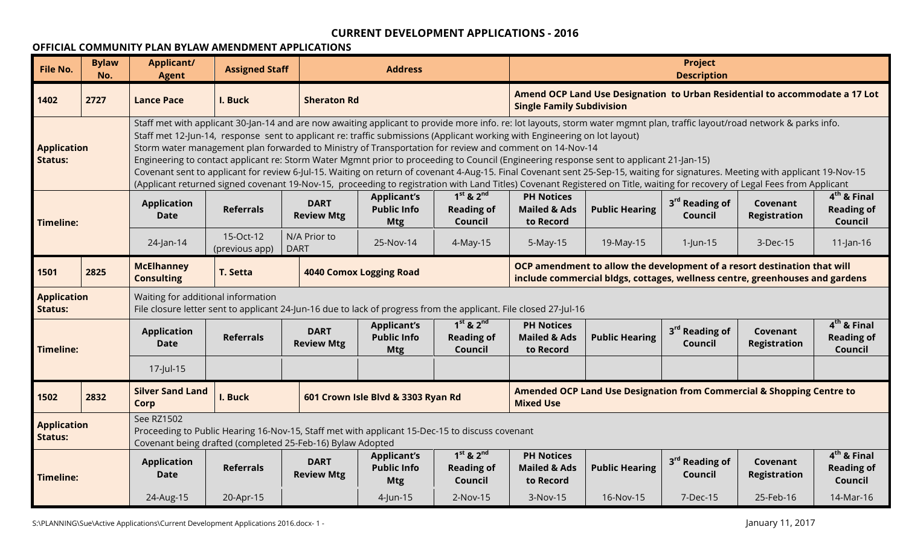#### **OFFICIAL COMMUNITY PLAN BYLAW AMENDMENT APPLICATIONS**

| <b>File No.</b>                      | <b>Bylaw</b><br>No. | <b>Applicant/</b><br><b>Agent</b>                                                                                                                                                                                                                                                                                                                                                                                                                                                                          | <b>Assigned Staff</b>                                                                                                                                                                                                                                                                                                                                                                                               |                                  | <b>Address</b>                                         |                                                                                                                                                                                                                                                                  |                                                           |                                                                                                                                                          | <b>Project</b><br><b>Description</b>  |                                 |                                               |  |
|--------------------------------------|---------------------|------------------------------------------------------------------------------------------------------------------------------------------------------------------------------------------------------------------------------------------------------------------------------------------------------------------------------------------------------------------------------------------------------------------------------------------------------------------------------------------------------------|---------------------------------------------------------------------------------------------------------------------------------------------------------------------------------------------------------------------------------------------------------------------------------------------------------------------------------------------------------------------------------------------------------------------|----------------------------------|--------------------------------------------------------|------------------------------------------------------------------------------------------------------------------------------------------------------------------------------------------------------------------------------------------------------------------|-----------------------------------------------------------|----------------------------------------------------------------------------------------------------------------------------------------------------------|---------------------------------------|---------------------------------|-----------------------------------------------|--|
| 1402                                 | 2727                | <b>Lance Pace</b>                                                                                                                                                                                                                                                                                                                                                                                                                                                                                          | I. Buck                                                                                                                                                                                                                                                                                                                                                                                                             | <b>Sheraton Rd</b>               |                                                        |                                                                                                                                                                                                                                                                  | <b>Single Family Subdivision</b>                          | Amend OCP Land Use Designation to Urban Residential to accommodate a 17 Lot                                                                              |                                       |                                 |                                               |  |
| <b>Application</b><br><b>Status:</b> |                     | Engineering to contact applicant re: Storm Water Mgmnt prior to proceeding to Council (Engineering response sent to applicant 21-Jan-15)<br>Covenant sent to applicant for review 6-Jul-15. Waiting on return of covenant 4-Aug-15. Final Covenant sent 25-Sep-15, waiting for signatures. Meeting with applicant 19-Nov-15<br>(Applicant returned signed covenant 19-Nov-15, proceeding to registration with Land Titles) Covenant Registered on Title, waiting for recovery of Legal Fees from Applicant | Staff met with applicant 30-Jan-14 and are now awaiting applicant to provide more info. re: lot layouts, storm water mgmnt plan, traffic layout/road network & parks info.<br>Staff met 12-Jun-14, response sent to applicant re: traffic submissions (Applicant working with Engineering on lot layout)<br>Storm water management plan forwarded to Ministry of Transportation for review and comment on 14-Nov-14 |                                  |                                                        |                                                                                                                                                                                                                                                                  |                                                           |                                                                                                                                                          |                                       |                                 |                                               |  |
| Timeline:                            |                     | <b>Application</b><br><b>Date</b>                                                                                                                                                                                                                                                                                                                                                                                                                                                                          | $1st$ & $2nd$<br>$4th$ & Final<br><b>PH Notices</b><br><b>Applicant's</b><br>3 <sup>rd</sup> Reading of<br><b>DART</b><br>Covenant<br><b>Public Info</b><br><b>Reading of</b><br><b>Referrals</b><br><b>Reading of</b><br><b>Mailed &amp; Ads</b><br><b>Public Hearing</b><br><b>Review Mtg</b><br>Council<br><b>Registration</b><br>Council<br>to Record<br>Council<br><b>Mtg</b>                                  |                                  |                                                        |                                                                                                                                                                                                                                                                  |                                                           |                                                                                                                                                          |                                       |                                 |                                               |  |
|                                      |                     | 24-Jan-14                                                                                                                                                                                                                                                                                                                                                                                                                                                                                                  | N/A Prior to<br>15-Oct-12<br>19-May-15<br>25-Nov-14<br>4-May-15<br>5-May-15<br>3-Dec-15<br>$11$ -Jan-16<br>$1$ -Jun-15<br><b>DART</b><br>(previous app)                                                                                                                                                                                                                                                             |                                  |                                                        |                                                                                                                                                                                                                                                                  |                                                           |                                                                                                                                                          |                                       |                                 |                                               |  |
| 1501                                 | 2825                | <b>McElhanney</b><br><b>Consulting</b>                                                                                                                                                                                                                                                                                                                                                                                                                                                                     | T. Setta                                                                                                                                                                                                                                                                                                                                                                                                            |                                  | <b>4040 Comox Logging Road</b>                         |                                                                                                                                                                                                                                                                  |                                                           | OCP amendment to allow the development of a resort destination that will<br>include commercial bldgs, cottages, wellness centre, greenhouses and gardens |                                       |                                 |                                               |  |
| <b>Application</b><br><b>Status:</b> |                     | Waiting for additional information                                                                                                                                                                                                                                                                                                                                                                                                                                                                         | File closure letter sent to applicant 24-Jun-16 due to lack of progress from the applicant. File closed 27-Jul-16                                                                                                                                                                                                                                                                                                   |                                  |                                                        |                                                                                                                                                                                                                                                                  |                                                           |                                                                                                                                                          |                                       |                                 |                                               |  |
| <b>Timeline:</b>                     |                     | <b>Application</b><br><b>Date</b>                                                                                                                                                                                                                                                                                                                                                                                                                                                                          | <b>Referrals</b>                                                                                                                                                                                                                                                                                                                                                                                                    | <b>DART</b><br><b>Review Mtg</b> | <b>Applicant's</b><br><b>Public Info</b><br><b>Mtg</b> | $1st$ & $2nd$<br><b>Reading of</b><br>Council                                                                                                                                                                                                                    | <b>PH Notices</b><br><b>Mailed &amp; Ads</b><br>to Record | <b>Public Hearing</b>                                                                                                                                    | 3 <sup>rd</sup> Reading of<br>Council | Covenant<br><b>Registration</b> | $4th$ & Final<br><b>Reading of</b><br>Council |  |
|                                      |                     | 17-Jul-15                                                                                                                                                                                                                                                                                                                                                                                                                                                                                                  |                                                                                                                                                                                                                                                                                                                                                                                                                     |                                  |                                                        |                                                                                                                                                                                                                                                                  |                                                           |                                                                                                                                                          |                                       |                                 |                                               |  |
| 1502                                 | 2832                | <b>Silver Sand Land</b><br>Corp                                                                                                                                                                                                                                                                                                                                                                                                                                                                            | I. Buck                                                                                                                                                                                                                                                                                                                                                                                                             |                                  | 601 Crown Isle Blvd & 3303 Ryan Rd                     |                                                                                                                                                                                                                                                                  | <b>Mixed Use</b>                                          | Amended OCP Land Use Designation from Commercial & Shopping Centre to                                                                                    |                                       |                                 |                                               |  |
| <b>Application</b><br><b>Status:</b> |                     | See RZ1502<br>Proceeding to Public Hearing 16-Nov-15, Staff met with applicant 15-Dec-15 to discuss covenant<br>Covenant being drafted (completed 25-Feb-16) Bylaw Adopted                                                                                                                                                                                                                                                                                                                                 |                                                                                                                                                                                                                                                                                                                                                                                                                     |                                  |                                                        |                                                                                                                                                                                                                                                                  |                                                           |                                                                                                                                                          |                                       |                                 |                                               |  |
| Timeline:                            |                     | <b>Application</b><br><b>Date</b>                                                                                                                                                                                                                                                                                                                                                                                                                                                                          | <b>Referrals</b>                                                                                                                                                                                                                                                                                                                                                                                                    | <b>DART</b><br><b>Review Mtg</b> | <b>Applicant's</b><br><b>Public Info</b><br><b>Mtg</b> | $1st$ & $2nd$<br>$4th$ & Final<br><b>PH Notices</b><br>3 <sup>rd</sup> Reading of<br>Covenant<br><b>Reading of</b><br><b>Mailed &amp; Ads</b><br><b>Reading of</b><br><b>Public Hearing</b><br>Council<br><b>Registration</b><br>Council<br>to Record<br>Council |                                                           |                                                                                                                                                          |                                       |                                 |                                               |  |
|                                      |                     | 24-Aug-15                                                                                                                                                                                                                                                                                                                                                                                                                                                                                                  | 20-Apr-15                                                                                                                                                                                                                                                                                                                                                                                                           |                                  | $4$ -Jun-15                                            | $2-Nov-15$                                                                                                                                                                                                                                                       | $3-Nov-15$                                                | 16-Nov-15                                                                                                                                                | 7-Dec-15                              | 25-Feb-16                       | 14-Mar-16                                     |  |

S:\PLANNING\Sue\Active Applications\Current Development Applications 2016.docx- 1 - January 11, 2017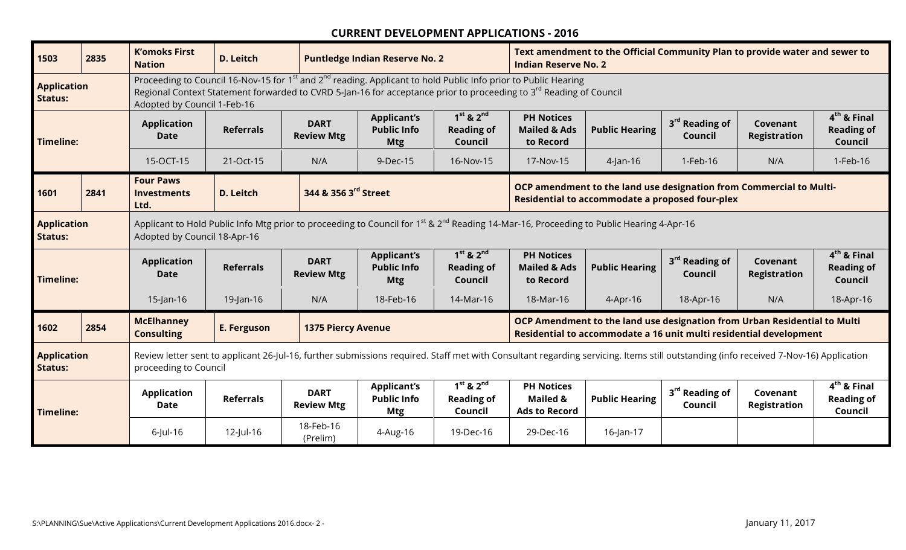| 1503                                 | 2835                                                                                                                                                                                            | <b>K'omoks First</b><br><b>Nation</b>                                                                                                                                                                         | <b>D. Leitch</b>                                                                                                                                                                                                                                                         |                                  | <b>Puntledge Indian Reserve No. 2</b>                  |                                               | <b>Indian Reserve No. 2</b>                                      | Text amendment to the Official Community Plan to provide water and sewer to                                                                     |                                       |                                 |                                               |
|--------------------------------------|-------------------------------------------------------------------------------------------------------------------------------------------------------------------------------------------------|---------------------------------------------------------------------------------------------------------------------------------------------------------------------------------------------------------------|--------------------------------------------------------------------------------------------------------------------------------------------------------------------------------------------------------------------------------------------------------------------------|----------------------------------|--------------------------------------------------------|-----------------------------------------------|------------------------------------------------------------------|-------------------------------------------------------------------------------------------------------------------------------------------------|---------------------------------------|---------------------------------|-----------------------------------------------|
| <b>Application</b><br><b>Status:</b> |                                                                                                                                                                                                 | Adopted by Council 1-Feb-16                                                                                                                                                                                   | Proceeding to Council 16-Nov-15 for 1 <sup>st</sup> and 2 <sup>nd</sup> reading. Applicant to hold Public Info prior to Public Hearing<br>Regional Context Statement forwarded to CVRD 5-Jan-16 for acceptance prior to proceeding to 3 <sup>rd</sup> Reading of Council |                                  |                                                        |                                               |                                                                  |                                                                                                                                                 |                                       |                                 |                                               |
| <b>Timeline:</b>                     |                                                                                                                                                                                                 | <b>Application</b><br><b>Date</b>                                                                                                                                                                             | <b>Referrals</b>                                                                                                                                                                                                                                                         | <b>DART</b><br><b>Review Mtg</b> | <b>Applicant's</b><br><b>Public Info</b><br><b>Mtg</b> | $1st$ & $2nd$<br><b>Reading of</b><br>Council | <b>PH Notices</b><br><b>Mailed &amp; Ads</b><br>to Record        | <b>Public Hearing</b>                                                                                                                           | 3 <sup>rd</sup> Reading of<br>Council | Covenant<br><b>Registration</b> | $4th$ & Final<br><b>Reading of</b><br>Council |
|                                      |                                                                                                                                                                                                 | 15-OCT-15                                                                                                                                                                                                     | 21-Oct-15                                                                                                                                                                                                                                                                | N/A                              | 9-Dec-15                                               | 16-Nov-15                                     | 17-Nov-15                                                        | $4$ -Jan-16                                                                                                                                     | 1-Feb-16                              | N/A                             | 1-Feb-16                                      |
| 1601                                 | 2841                                                                                                                                                                                            | <b>Four Paws</b><br><b>Investments</b><br>Ltd.                                                                                                                                                                | <b>D. Leitch</b>                                                                                                                                                                                                                                                         | 344 & 356 3rd Street             |                                                        |                                               |                                                                  | OCP amendment to the land use designation from Commercial to Multi-<br>Residential to accommodate a proposed four-plex                          |                                       |                                 |                                               |
| <b>Application</b><br><b>Status:</b> | Applicant to Hold Public Info Mtg prior to proceeding to Council for 1 <sup>st</sup> & 2 <sup>nd</sup> Reading 14-Mar-16, Proceeding to Public Hearing 4-Apr-16<br>Adopted by Council 18-Apr-16 |                                                                                                                                                                                                               |                                                                                                                                                                                                                                                                          |                                  |                                                        |                                               |                                                                  |                                                                                                                                                 |                                       |                                 |                                               |
| <b>Timeline:</b>                     |                                                                                                                                                                                                 | <b>Application</b><br><b>Date</b>                                                                                                                                                                             | <b>Referrals</b>                                                                                                                                                                                                                                                         | <b>DART</b><br><b>Review Mtg</b> | <b>Applicant's</b><br><b>Public Info</b><br><b>Mtg</b> | $1st$ & $2nd$<br><b>Reading of</b><br>Council | <b>PH Notices</b><br><b>Mailed &amp; Ads</b><br>to Record        | <b>Public Hearing</b>                                                                                                                           | 3 <sup>rd</sup> Reading of<br>Council | Covenant<br><b>Registration</b> | $4th$ & Final<br><b>Reading of</b><br>Council |
|                                      |                                                                                                                                                                                                 | $15$ -Jan-16                                                                                                                                                                                                  | $19$ -Jan-16                                                                                                                                                                                                                                                             | N/A                              | 18-Feb-16                                              | 14-Mar-16                                     | 18-Mar-16                                                        | 4-Apr-16                                                                                                                                        | 18-Apr-16                             | N/A                             | 18-Apr-16                                     |
| 1602                                 | 2854                                                                                                                                                                                            | <b>McElhanney</b><br><b>Consulting</b>                                                                                                                                                                        | <b>E. Ferguson</b>                                                                                                                                                                                                                                                       | <b>1375 Piercy Avenue</b>        |                                                        |                                               |                                                                  | OCP Amendment to the land use designation from Urban Residential to Multi<br>Residential to accommodate a 16 unit multi residential development |                                       |                                 |                                               |
| <b>Application</b><br><b>Status:</b> |                                                                                                                                                                                                 | Review letter sent to applicant 26-Jul-16, further submissions required. Staff met with Consultant regarding servicing. Items still outstanding (info received 7-Nov-16) Application<br>proceeding to Council |                                                                                                                                                                                                                                                                          |                                  |                                                        |                                               |                                                                  |                                                                                                                                                 |                                       |                                 |                                               |
| <b>Timeline:</b>                     |                                                                                                                                                                                                 | <b>Application</b><br><b>Date</b>                                                                                                                                                                             | <b>Referrals</b>                                                                                                                                                                                                                                                         | <b>DART</b><br><b>Review Mtg</b> | <b>Applicant's</b><br><b>Public Info</b><br><b>Mtg</b> | $1st$ & $2nd$<br><b>Reading of</b><br>Council | <b>PH Notices</b><br><b>Mailed &amp;</b><br><b>Ads to Record</b> | <b>Public Hearing</b>                                                                                                                           | 3 <sup>rd</sup> Reading of<br>Council | Covenant<br><b>Registration</b> | $4th$ & Final<br><b>Reading of</b><br>Council |
|                                      |                                                                                                                                                                                                 | $6$ -Jul-16                                                                                                                                                                                                   | 12-Jul-16                                                                                                                                                                                                                                                                | 18-Feb-16<br>(Prelim)            | 4-Aug-16                                               | 19-Dec-16                                     | 29-Dec-16                                                        | 16-Jan-17                                                                                                                                       |                                       |                                 |                                               |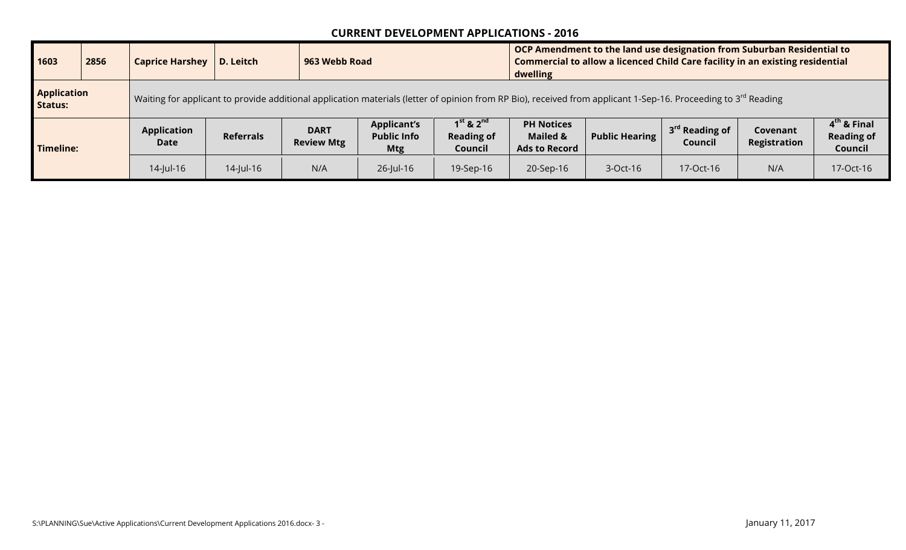| 1603                          | 2856 | <b>Caprice Harshey</b>                                                                                                                                                     | D. Leitch        |                                  | 963 Webb Road                                          |                                               |                                                                  | OCP Amendment to the land use designation from Suburban Residential to<br>Commercial to allow a licenced Child Care facility in an existing residential<br>dwelling |                             |                          |                                                         |  |  |
|-------------------------------|------|----------------------------------------------------------------------------------------------------------------------------------------------------------------------------|------------------|----------------------------------|--------------------------------------------------------|-----------------------------------------------|------------------------------------------------------------------|---------------------------------------------------------------------------------------------------------------------------------------------------------------------|-----------------------------|--------------------------|---------------------------------------------------------|--|--|
| <b>Application</b><br>Status: |      | Waiting for applicant to provide additional application materials (letter of opinion from RP Bio), received from applicant 1-Sep-16. Proceeding to 3 <sup>rd</sup> Reading |                  |                                  |                                                        |                                               |                                                                  |                                                                                                                                                                     |                             |                          |                                                         |  |  |
| <b>Timeline:</b>              |      | <b>Application</b><br>Date                                                                                                                                                 | <b>Referrals</b> | <b>DART</b><br><b>Review Mtg</b> | <b>Applicant's</b><br><b>Public Info</b><br><b>Mtg</b> | $1st$ & $2nd$<br><b>Reading of</b><br>Council | <b>PH Notices</b><br><b>Mailed &amp;</b><br><b>Ads to Record</b> | <b>Public Hearing</b>                                                                                                                                               | $3rd$ Reading of<br>Council | Covenant<br>Registration | 4 <sup>th</sup> & Final<br><b>Reading of</b><br>Council |  |  |
|                               |      | $14$ -Jul-16                                                                                                                                                               | $14$ -Jul-16     | N/A                              | $26$ -Jul-16                                           | 19-Sep-16                                     | N/A<br>17-Oct-16<br>20-Sep-16<br>17-Oct-16<br>3-Oct-16           |                                                                                                                                                                     |                             |                          |                                                         |  |  |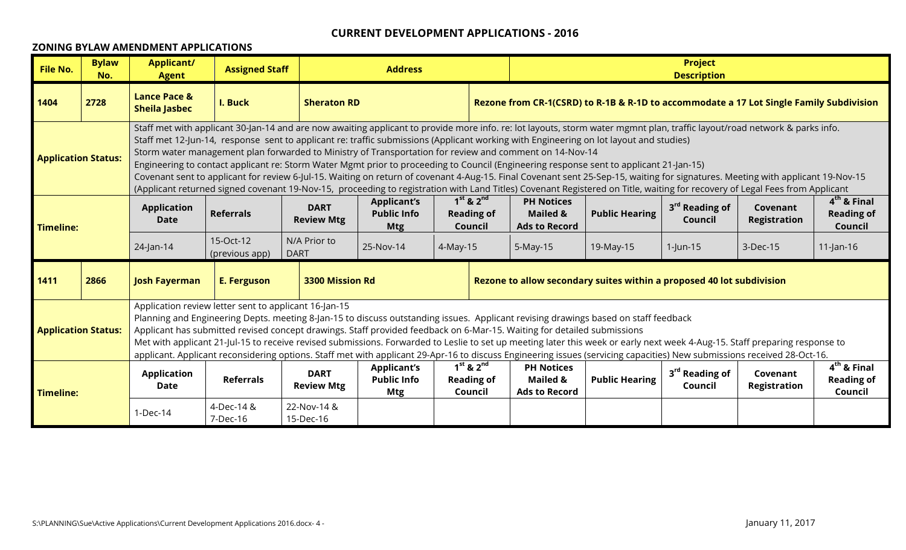#### **ZONING BYLAW AMENDMENT APPLICATIONS**

| <b>File No.</b>                                                                                                                                                                                                                                                                                                                                                          | <b>Bylaw</b><br>No.        | <b>Applicant/</b><br><b>Agent</b>                                                                                                                                                                                                                                                                                                                                                                                                                                                                                                                                                                                                                                                 | <b>Assigned Staff</b>                                                                                                                                                                                                                                                                                                                                                                                                                                                                                                                                                                                                                                                                                                                                         |                             | <b>Address</b> |          |                                               |          |                                                                                         | <b>Project</b><br><b>Description</b> |          |              |
|--------------------------------------------------------------------------------------------------------------------------------------------------------------------------------------------------------------------------------------------------------------------------------------------------------------------------------------------------------------------------|----------------------------|-----------------------------------------------------------------------------------------------------------------------------------------------------------------------------------------------------------------------------------------------------------------------------------------------------------------------------------------------------------------------------------------------------------------------------------------------------------------------------------------------------------------------------------------------------------------------------------------------------------------------------------------------------------------------------------|---------------------------------------------------------------------------------------------------------------------------------------------------------------------------------------------------------------------------------------------------------------------------------------------------------------------------------------------------------------------------------------------------------------------------------------------------------------------------------------------------------------------------------------------------------------------------------------------------------------------------------------------------------------------------------------------------------------------------------------------------------------|-----------------------------|----------------|----------|-----------------------------------------------|----------|-----------------------------------------------------------------------------------------|--------------------------------------|----------|--------------|
| 1404                                                                                                                                                                                                                                                                                                                                                                     | 2728                       | <b>Lance Pace &amp;</b><br><b>Sheila Jasbec</b>                                                                                                                                                                                                                                                                                                                                                                                                                                                                                                                                                                                                                                   | I. Buck                                                                                                                                                                                                                                                                                                                                                                                                                                                                                                                                                                                                                                                                                                                                                       | <b>Sheraton RD</b>          |                |          |                                               |          | Rezone from CR-1(CSRD) to R-1B & R-1D to accommodate a 17 Lot Single Family Subdivision |                                      |          |              |
|                                                                                                                                                                                                                                                                                                                                                                          | <b>Application Status:</b> |                                                                                                                                                                                                                                                                                                                                                                                                                                                                                                                                                                                                                                                                                   | Staff met with applicant 30-Jan-14 and are now awaiting applicant to provide more info. re: lot layouts, storm water mgmnt plan, traffic layout/road network & parks info.<br>Staff met 12-Jun-14, response sent to applicant re: traffic submissions (Applicant working with Engineering on lot layout and studies)<br>Storm water management plan forwarded to Ministry of Transportation for review and comment on 14-Nov-14<br>Engineering to contact applicant re: Storm Water Mgmt prior to proceeding to Council (Engineering response sent to applicant 21-Jan-15)<br>Covenant sent to applicant for review 6-Jul-15. Waiting on return of covenant 4-Aug-15. Final Covenant sent 25-Sep-15, waiting for signatures. Meeting with applicant 19-Nov-15 |                             |                |          |                                               |          |                                                                                         |                                      |          |              |
| <b>Timeline:</b>                                                                                                                                                                                                                                                                                                                                                         |                            | (Applicant returned signed covenant 19-Nov-15, proceeding to registration with Land Titles) Covenant Registered on Title, waiting for recovery of Legal Fees from Applicant<br>$1st$ & $2nd$<br>$4th$ & Final<br><b>PH Notices</b><br><b>Applicant's</b><br>3 <sup>rd</sup> Reading of<br><b>DART</b><br><b>Application</b><br>Covenant<br><b>Referrals</b><br><b>Public Info</b><br><b>Mailed &amp;</b><br><b>Public Hearing</b><br><b>Reading of</b><br><b>Reading of</b><br><b>Review Mtg</b><br><b>Registration</b><br><b>Date</b><br>Council<br><b>Ads to Record</b><br>Council<br><b>Mtg</b><br>Council                                                                     |                                                                                                                                                                                                                                                                                                                                                                                                                                                                                                                                                                                                                                                                                                                                                               |                             |                |          |                                               |          |                                                                                         |                                      |          |              |
|                                                                                                                                                                                                                                                                                                                                                                          |                            | 24-Jan-14                                                                                                                                                                                                                                                                                                                                                                                                                                                                                                                                                                                                                                                                         | 15-Oct-12<br>(previous app)                                                                                                                                                                                                                                                                                                                                                                                                                                                                                                                                                                                                                                                                                                                                   | N/A Prior to<br><b>DART</b> | 25-Nov-14      | 4-May-15 |                                               | 5-May-15 | 19-May-15                                                                               | $1$ -Jun-15                          | 3-Dec-15 | $11$ -Jan-16 |
| 1411                                                                                                                                                                                                                                                                                                                                                                     | 2866                       | <b>Josh Fayerman</b>                                                                                                                                                                                                                                                                                                                                                                                                                                                                                                                                                                                                                                                              | <b>E. Ferguson</b>                                                                                                                                                                                                                                                                                                                                                                                                                                                                                                                                                                                                                                                                                                                                            | 3300 Mission Rd             |                |          |                                               |          | Rezone to allow secondary suites within a proposed 40 lot subdivision                   |                                      |          |              |
|                                                                                                                                                                                                                                                                                                                                                                          | <b>Application Status:</b> | Application review letter sent to applicant 16-Jan-15<br>Planning and Engineering Depts. meeting 8-Jan-15 to discuss outstanding issues. Applicant revising drawings based on staff feedback<br>Applicant has submitted revised concept drawings. Staff provided feedback on 6-Mar-15. Waiting for detailed submissions<br>Met with applicant 21-Jul-15 to receive revised submissions. Forwarded to Leslie to set up meeting later this week or early next week 4-Aug-15. Staff preparing response to<br>applicant. Applicant reconsidering options. Staff met with applicant 29-Apr-16 to discuss Engineering issues (servicing capacities) New submissions received 28-Oct-16. |                                                                                                                                                                                                                                                                                                                                                                                                                                                                                                                                                                                                                                                                                                                                                               |                             |                |          |                                               |          |                                                                                         |                                      |          |              |
| $1st$ & $2nd$<br><b>PH Notices</b><br><b>Applicant's</b><br>3 <sup>rd</sup> Reading of<br><b>DART</b><br><b>Application</b><br>Covenant<br><b>Referrals</b><br><b>Public Info</b><br><b>Reading of</b><br>Mailed &<br><b>Public Hearing</b><br><b>Registration</b><br><b>Review Mtg</b><br>Date<br>Council<br>Mtg<br>Council<br><b>Ads to Record</b><br><b>Timeline:</b> |                            |                                                                                                                                                                                                                                                                                                                                                                                                                                                                                                                                                                                                                                                                                   |                                                                                                                                                                                                                                                                                                                                                                                                                                                                                                                                                                                                                                                                                                                                                               |                             |                |          | $4th$ & Final<br><b>Reading of</b><br>Council |          |                                                                                         |                                      |          |              |
|                                                                                                                                                                                                                                                                                                                                                                          |                            | 1-Dec-14                                                                                                                                                                                                                                                                                                                                                                                                                                                                                                                                                                                                                                                                          | 4-Dec-14 &<br>7-Dec-16                                                                                                                                                                                                                                                                                                                                                                                                                                                                                                                                                                                                                                                                                                                                        | 22-Nov-14 &<br>15-Dec-16    |                |          |                                               |          |                                                                                         |                                      |          |              |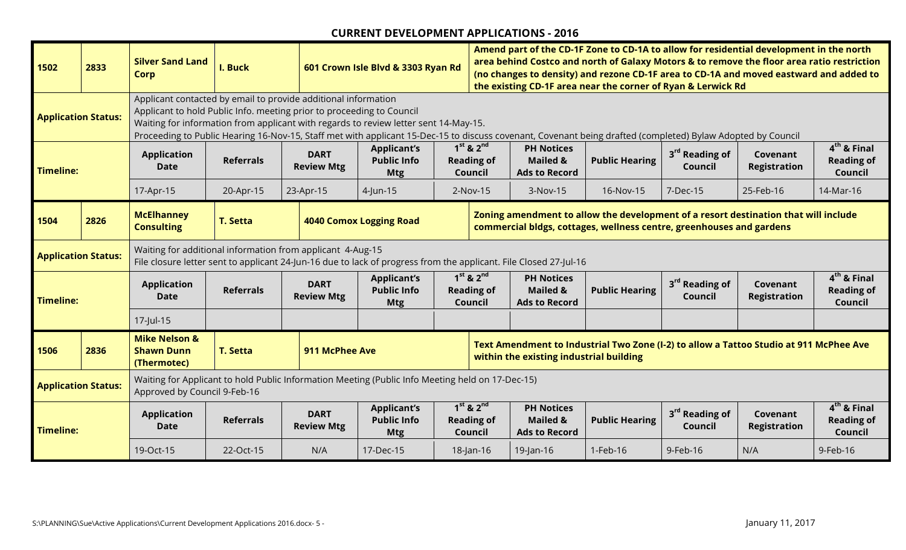| 1502                                                                                                                                                                                                                                                                                                                                                                                              | 2833                       | <b>Silver Sand Land</b><br><b>Corp</b>                                                                                                                                                                                                 | I. Buck                                                                                                                                 |                                                                                                                                                                                               | 601 Crown Isle Blvd & 3303 Ryan Rd                                                                                                                                                                                                                  | Amend part of the CD-1F Zone to CD-1A to allow for residential development in the north<br>area behind Costco and north of Galaxy Motors & to remove the floor area ratio restriction<br>(no changes to density) and rezone CD-1F area to CD-1A and moved eastward and added to<br>the existing CD-1F area near the corner of Ryan & Lerwick Rd |                                                                  |                       |                                       |                                 |                                               |  |
|---------------------------------------------------------------------------------------------------------------------------------------------------------------------------------------------------------------------------------------------------------------------------------------------------------------------------------------------------------------------------------------------------|----------------------------|----------------------------------------------------------------------------------------------------------------------------------------------------------------------------------------------------------------------------------------|-----------------------------------------------------------------------------------------------------------------------------------------|-----------------------------------------------------------------------------------------------------------------------------------------------------------------------------------------------|-----------------------------------------------------------------------------------------------------------------------------------------------------------------------------------------------------------------------------------------------------|-------------------------------------------------------------------------------------------------------------------------------------------------------------------------------------------------------------------------------------------------------------------------------------------------------------------------------------------------|------------------------------------------------------------------|-----------------------|---------------------------------------|---------------------------------|-----------------------------------------------|--|
|                                                                                                                                                                                                                                                                                                                                                                                                   | <b>Application Status:</b> |                                                                                                                                                                                                                                        | Applicant contacted by email to provide additional information<br>Applicant to hold Public Info. meeting prior to proceeding to Council |                                                                                                                                                                                               | Waiting for information from applicant with regards to review letter sent 14-May-15.<br>Proceeding to Public Hearing 16-Nov-15, Staff met with applicant 15-Dec-15 to discuss covenant, Covenant being drafted (completed) Bylaw Adopted by Council |                                                                                                                                                                                                                                                                                                                                                 |                                                                  |                       |                                       |                                 |                                               |  |
| <b>Timeline:</b>                                                                                                                                                                                                                                                                                                                                                                                  |                            | <b>Application</b><br><b>Date</b>                                                                                                                                                                                                      | <b>Referrals</b>                                                                                                                        | <b>DART</b><br><b>Review Mtg</b>                                                                                                                                                              | <b>Applicant's</b><br><b>Public Info</b><br><b>Mtg</b>                                                                                                                                                                                              | $1st$ & $2nd$<br><b>Reading of</b><br><b>Council</b>                                                                                                                                                                                                                                                                                            | <b>PH Notices</b><br>Mailed &<br><b>Ads to Record</b>            | <b>Public Hearing</b> | 3 <sup>rd</sup> Reading of<br>Council | Covenant<br><b>Registration</b> | $4th$ & Final<br><b>Reading of</b><br>Council |  |
|                                                                                                                                                                                                                                                                                                                                                                                                   |                            | 17-Apr-15                                                                                                                                                                                                                              | 20-Apr-15                                                                                                                               | 23-Apr-15                                                                                                                                                                                     | $4$ -Jun-15                                                                                                                                                                                                                                         | $2-Nov-15$                                                                                                                                                                                                                                                                                                                                      | 3-Nov-15                                                         | 16-Nov-15             | 7-Dec-15                              | 25-Feb-16                       | 14-Mar-16                                     |  |
| 1504                                                                                                                                                                                                                                                                                                                                                                                              | 2826                       | <b>McElhanney</b><br><b>Consulting</b>                                                                                                                                                                                                 | <b>T. Setta</b>                                                                                                                         | Zoning amendment to allow the development of a resort destination that will include<br><b>4040 Comox Logging Road</b><br>commercial bldgs, cottages, wellness centre, greenhouses and gardens |                                                                                                                                                                                                                                                     |                                                                                                                                                                                                                                                                                                                                                 |                                                                  |                       |                                       |                                 |                                               |  |
|                                                                                                                                                                                                                                                                                                                                                                                                   | <b>Application Status:</b> |                                                                                                                                                                                                                                        | Waiting for additional information from applicant 4-Aug-15                                                                              |                                                                                                                                                                                               | File closure letter sent to applicant 24-Jun-16 due to lack of progress from the applicant. File Closed 27-Jul-16                                                                                                                                   |                                                                                                                                                                                                                                                                                                                                                 |                                                                  |                       |                                       |                                 |                                               |  |
| <b>Timeline:</b>                                                                                                                                                                                                                                                                                                                                                                                  |                            | <b>Application</b><br><b>Date</b>                                                                                                                                                                                                      | <b>Referrals</b>                                                                                                                        | <b>DART</b><br><b>Review Mtg</b>                                                                                                                                                              | <b>Applicant's</b><br><b>Public Info</b><br><b>Mtg</b>                                                                                                                                                                                              | $1st$ & $2nd$<br><b>Reading of</b><br>Council                                                                                                                                                                                                                                                                                                   | <b>PH Notices</b><br><b>Mailed &amp;</b><br><b>Ads to Record</b> | <b>Public Hearing</b> | 3 <sup>rd</sup> Reading of<br>Council | Covenant<br><b>Registration</b> | $4th$ & Final<br><b>Reading of</b><br>Council |  |
|                                                                                                                                                                                                                                                                                                                                                                                                   |                            | 17-Jul-15                                                                                                                                                                                                                              |                                                                                                                                         |                                                                                                                                                                                               |                                                                                                                                                                                                                                                     |                                                                                                                                                                                                                                                                                                                                                 |                                                                  |                       |                                       |                                 |                                               |  |
| 1506                                                                                                                                                                                                                                                                                                                                                                                              | 2836                       | <b>Mike Nelson &amp;</b><br>Text Amendment to Industrial Two Zone (I-2) to allow a Tattoo Studio at 911 McPhee Ave<br><b>Shawn Dunn</b><br><b>T. Setta</b><br>911 McPhee Ave<br>within the existing industrial building<br>(Thermotec) |                                                                                                                                         |                                                                                                                                                                                               |                                                                                                                                                                                                                                                     |                                                                                                                                                                                                                                                                                                                                                 |                                                                  |                       |                                       |                                 |                                               |  |
|                                                                                                                                                                                                                                                                                                                                                                                                   | <b>Application Status:</b> | Waiting for Applicant to hold Public Information Meeting (Public Info Meeting held on 17-Dec-15)<br>Approved by Council 9-Feb-16                                                                                                       |                                                                                                                                         |                                                                                                                                                                                               |                                                                                                                                                                                                                                                     |                                                                                                                                                                                                                                                                                                                                                 |                                                                  |                       |                                       |                                 |                                               |  |
| $1st$ & $2nd$<br><b>Applicant's</b><br><b>PH Notices</b><br>3 <sup>rd</sup> Reading of<br><b>DART</b><br><b>Application</b><br>Covenant<br><b>Public Hearing</b><br><b>Referrals</b><br><b>Public Info</b><br><b>Reading of</b><br><b>Mailed &amp;</b><br><b>Review Mtg</b><br>Council<br><b>Registration</b><br><b>Date</b><br><b>Timeline:</b><br><b>Ads to Record</b><br><b>Mtg</b><br>Council |                            |                                                                                                                                                                                                                                        |                                                                                                                                         |                                                                                                                                                                                               |                                                                                                                                                                                                                                                     |                                                                                                                                                                                                                                                                                                                                                 | $4th$ & Final<br><b>Reading of</b><br>Council                    |                       |                                       |                                 |                                               |  |
|                                                                                                                                                                                                                                                                                                                                                                                                   |                            | 19-Oct-15                                                                                                                                                                                                                              | 22-Oct-15                                                                                                                               | N/A                                                                                                                                                                                           | 17-Dec-15                                                                                                                                                                                                                                           | 18-Jan-16                                                                                                                                                                                                                                                                                                                                       | 19-Jan-16                                                        | 1-Feb-16              | 9-Feb-16                              | N/A                             | 9-Feb-16                                      |  |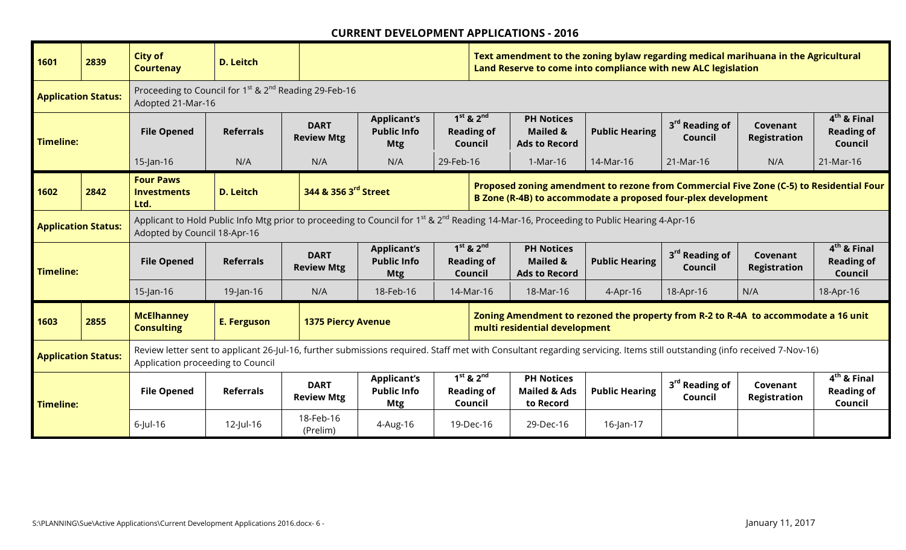| 1601                                                                                                                                                                                                                          | 2839                                                                                                                                                                                                                                        | <b>City of</b><br><b>Courtenay</b>                                                                                                                                                                                                                                 | <b>D. Leitch</b>   |                                  |                                                        |           | Text amendment to the zoning bylaw regarding medical marihuana in the Agricultural<br>Land Reserve to come into compliance with new ALC legislation |                                                                  |                                                                                    |                                       |                                 |                                                      |
|-------------------------------------------------------------------------------------------------------------------------------------------------------------------------------------------------------------------------------|---------------------------------------------------------------------------------------------------------------------------------------------------------------------------------------------------------------------------------------------|--------------------------------------------------------------------------------------------------------------------------------------------------------------------------------------------------------------------------------------------------------------------|--------------------|----------------------------------|--------------------------------------------------------|-----------|-----------------------------------------------------------------------------------------------------------------------------------------------------|------------------------------------------------------------------|------------------------------------------------------------------------------------|---------------------------------------|---------------------------------|------------------------------------------------------|
| <b>Application Status:</b>                                                                                                                                                                                                    |                                                                                                                                                                                                                                             | Proceeding to Council for 1 <sup>st</sup> & 2 <sup>nd</sup> Reading 29-Feb-16<br>Adopted 21-Mar-16                                                                                                                                                                 |                    |                                  |                                                        |           |                                                                                                                                                     |                                                                  |                                                                                    |                                       |                                 |                                                      |
| <b>Timeline:</b>                                                                                                                                                                                                              |                                                                                                                                                                                                                                             | <b>File Opened</b>                                                                                                                                                                                                                                                 | <b>Referrals</b>   | <b>DART</b><br><b>Review Mtg</b> | <b>Applicant's</b><br><b>Public Info</b><br><b>Mtg</b> |           | $1st$ & $2nd$<br><b>Reading of</b><br>Council                                                                                                       | <b>PH Notices</b><br><b>Mailed &amp;</b><br><b>Ads to Record</b> | <b>Public Hearing</b>                                                              | 3 <sup>rd</sup> Reading of<br>Council | Covenant<br><b>Registration</b> | $4th$ & Final<br><b>Reading of</b><br><b>Council</b> |
|                                                                                                                                                                                                                               |                                                                                                                                                                                                                                             | $15$ -Jan-16                                                                                                                                                                                                                                                       | N/A                | N/A                              | N/A                                                    | 29-Feb-16 |                                                                                                                                                     | 1-Mar-16                                                         | 14-Mar-16                                                                          | 21-Mar-16                             | N/A                             | 21-Mar-16                                            |
| 1602                                                                                                                                                                                                                          | 2842                                                                                                                                                                                                                                        | <b>Four Paws</b><br>Proposed zoning amendment to rezone from Commercial Five Zone (C-5) to Residential Four<br>344 & 356 3 <sup>rd</sup> Street<br><b>D. Leitch</b><br><b>Investments</b><br>B Zone (R-4B) to accommodate a proposed four-plex development<br>Ltd. |                    |                                  |                                                        |           |                                                                                                                                                     |                                                                  |                                                                                    |                                       |                                 |                                                      |
| Applicant to Hold Public Info Mtg prior to proceeding to Council for 1 <sup>st</sup> & 2 <sup>nd</sup> Reading 14-Mar-16, Proceeding to Public Hearing 4-Apr-16<br><b>Application Status:</b><br>Adopted by Council 18-Apr-16 |                                                                                                                                                                                                                                             |                                                                                                                                                                                                                                                                    |                    |                                  |                                                        |           |                                                                                                                                                     |                                                                  |                                                                                    |                                       |                                 |                                                      |
| <b>Timeline:</b>                                                                                                                                                                                                              |                                                                                                                                                                                                                                             | <b>File Opened</b>                                                                                                                                                                                                                                                 | <b>Referrals</b>   | <b>DART</b><br><b>Review Mtg</b> | <b>Applicant's</b><br><b>Public Info</b><br><b>Mtg</b> |           | $1st$ & $2nd$<br><b>Reading of</b><br>Council                                                                                                       | <b>PH Notices</b><br><b>Mailed &amp;</b><br><b>Ads to Record</b> | <b>Public Hearing</b>                                                              | 3 <sup>rd</sup> Reading of<br>Council | Covenant<br><b>Registration</b> | $4th$ & Final<br><b>Reading of</b><br>Council        |
|                                                                                                                                                                                                                               |                                                                                                                                                                                                                                             | $15$ -Jan-16                                                                                                                                                                                                                                                       | $19$ -Jan-16       | N/A                              | 18-Feb-16                                              |           | 14-Mar-16                                                                                                                                           | 18-Mar-16                                                        | 4-Apr-16                                                                           | 18-Apr-16                             | N/A                             | 18-Apr-16                                            |
| 1603                                                                                                                                                                                                                          | 2855                                                                                                                                                                                                                                        | <b>McElhanney</b><br><b>Consulting</b>                                                                                                                                                                                                                             | <b>E. Ferguson</b> | <b>1375 Piercy Avenue</b>        |                                                        |           |                                                                                                                                                     | multi residential development                                    | Zoning Amendment to rezoned the property from R-2 to R-4A to accommodate a 16 unit |                                       |                                 |                                                      |
|                                                                                                                                                                                                                               | Review letter sent to applicant 26-Jul-16, further submissions required. Staff met with Consultant regarding servicing. Items still outstanding (info received 7-Nov-16)<br><b>Application Status:</b><br>Application proceeding to Council |                                                                                                                                                                                                                                                                    |                    |                                  |                                                        |           |                                                                                                                                                     |                                                                  |                                                                                    |                                       |                                 |                                                      |
| <b>Timeline:</b>                                                                                                                                                                                                              |                                                                                                                                                                                                                                             | <b>File Opened</b>                                                                                                                                                                                                                                                 | <b>Referrals</b>   | <b>DART</b><br><b>Review Mtg</b> | <b>Applicant's</b><br><b>Public Info</b><br><b>Mtg</b> |           | $1st$ & $2nd$<br><b>Reading of</b><br>Council                                                                                                       | <b>PH Notices</b><br><b>Mailed &amp; Ads</b><br>to Record        | <b>Public Hearing</b>                                                              | 3 <sup>rd</sup> Reading of<br>Council | Covenant<br><b>Registration</b> | $4th$ & Final<br><b>Reading of</b><br>Council        |
|                                                                                                                                                                                                                               |                                                                                                                                                                                                                                             | $6$ -Jul-16                                                                                                                                                                                                                                                        | 12-Jul-16          | 18-Feb-16<br>(Prelim)            | 4-Aug-16                                               |           | 19-Dec-16                                                                                                                                           | 29-Dec-16                                                        | $16$ -Jan-17                                                                       |                                       |                                 |                                                      |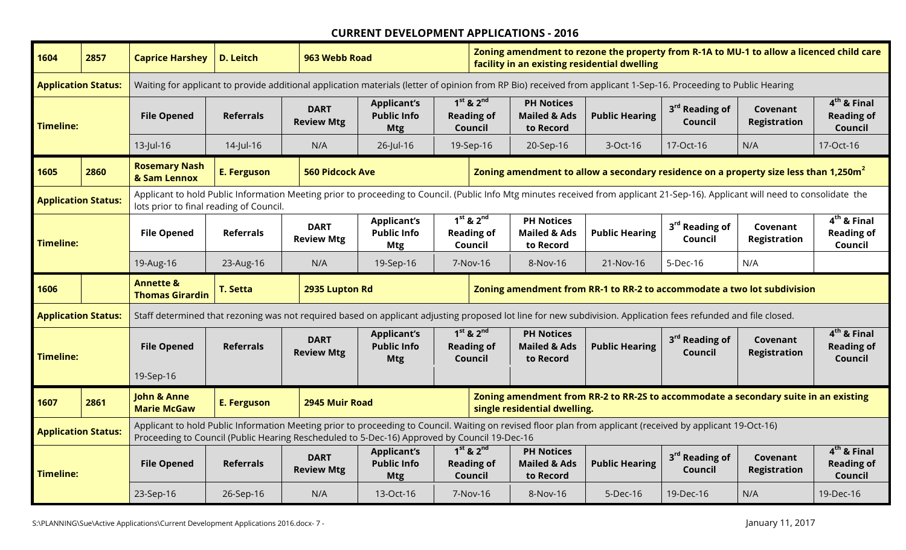| 1604             | 2857                       | <b>Caprice Harshey</b>                                                                                                               | <b>D. Leitch</b>                                                                                                                                                                                                                                                                                                                                                                         | 963 Webb Road                    |                                                                                                                                                                                                                                                             |                                               | Zoning amendment to rezone the property from R-1A to MU-1 to allow a licenced child care<br>facility in an existing residential dwelling |                       |                                       |                                 |                                               |
|------------------|----------------------------|--------------------------------------------------------------------------------------------------------------------------------------|------------------------------------------------------------------------------------------------------------------------------------------------------------------------------------------------------------------------------------------------------------------------------------------------------------------------------------------------------------------------------------------|----------------------------------|-------------------------------------------------------------------------------------------------------------------------------------------------------------------------------------------------------------------------------------------------------------|-----------------------------------------------|------------------------------------------------------------------------------------------------------------------------------------------|-----------------------|---------------------------------------|---------------------------------|-----------------------------------------------|
|                  | <b>Application Status:</b> |                                                                                                                                      |                                                                                                                                                                                                                                                                                                                                                                                          |                                  | Waiting for applicant to provide additional application materials (letter of opinion from RP Bio) received from applicant 1-Sep-16. Proceeding to Public Hearing                                                                                            |                                               |                                                                                                                                          |                       |                                       |                                 |                                               |
| <b>Timeline:</b> |                            | <b>File Opened</b>                                                                                                                   | <b>Referrals</b>                                                                                                                                                                                                                                                                                                                                                                         | <b>DART</b><br><b>Review Mtg</b> | <b>Applicant's</b><br><b>Public Info</b><br><b>Mtg</b>                                                                                                                                                                                                      | $1st$ & $2nd$<br><b>Reading of</b><br>Council | <b>PH Notices</b><br><b>Mailed &amp; Ads</b><br>to Record                                                                                | <b>Public Hearing</b> | 3 <sup>rd</sup> Reading of<br>Council | Covenant<br><b>Registration</b> | $4th$ & Final<br><b>Reading of</b><br>Council |
|                  |                            | $13$ -Jul-16                                                                                                                         | 14-Jul-16                                                                                                                                                                                                                                                                                                                                                                                | N/A                              | 26-Jul-16                                                                                                                                                                                                                                                   | 19-Sep-16                                     | 20-Sep-16                                                                                                                                | 3-Oct-16              | 17-Oct-16                             | N/A                             | 17-Oct-16                                     |
| 1605             | 2860                       | <b>Rosemary Nash</b><br>& Sam Lennox                                                                                                 | <b>E. Ferguson</b>                                                                                                                                                                                                                                                                                                                                                                       | <b>560 Pidcock Ave</b>           |                                                                                                                                                                                                                                                             |                                               | Zoning amendment to allow a secondary residence on a property size less than 1,250m <sup>2</sup>                                         |                       |                                       |                                 |                                               |
|                  | <b>Application Status:</b> | lots prior to final reading of Council.                                                                                              |                                                                                                                                                                                                                                                                                                                                                                                          |                                  | Applicant to hold Public Information Meeting prior to proceeding to Council. (Public Info Mtg minutes received from applicant 21-Sep-16). Applicant will need to consolidate the                                                                            |                                               |                                                                                                                                          |                       |                                       |                                 |                                               |
| <b>Timeline:</b> |                            | <b>File Opened</b>                                                                                                                   | $1^{st}$ & $2^{nd}$<br>$4th$ & Final<br><b>PH Notices</b><br><b>Applicant's</b><br>3 <sup>rd</sup> Reading of<br><b>DART</b><br>Covenant<br><b>Referrals</b><br><b>Public Info</b><br><b>Reading of</b><br><b>Mailed &amp; Ads</b><br><b>Public Hearing</b><br><b>Reading of</b><br><b>Review Mtg</b><br><b>Registration</b><br>Council<br>Council<br>Council<br><b>Mtg</b><br>to Record |                                  |                                                                                                                                                                                                                                                             |                                               |                                                                                                                                          |                       |                                       |                                 |                                               |
|                  |                            | 19-Aug-16                                                                                                                            | 23-Aug-16                                                                                                                                                                                                                                                                                                                                                                                | N/A                              | 19-Sep-16                                                                                                                                                                                                                                                   | 7-Nov-16                                      | 8-Nov-16                                                                                                                                 | 21-Nov-16             | 5-Dec-16                              | N/A                             |                                               |
|                  |                            | <b>Annette &amp;</b><br>Zoning amendment from RR-1 to RR-2 to accommodate a two lot subdivision<br><b>T. Setta</b><br>2935 Lupton Rd |                                                                                                                                                                                                                                                                                                                                                                                          |                                  |                                                                                                                                                                                                                                                             |                                               |                                                                                                                                          |                       |                                       |                                 |                                               |
| 1606             |                            | <b>Thomas Girardin</b>                                                                                                               |                                                                                                                                                                                                                                                                                                                                                                                          |                                  |                                                                                                                                                                                                                                                             |                                               |                                                                                                                                          |                       |                                       |                                 |                                               |
|                  | <b>Application Status:</b> |                                                                                                                                      |                                                                                                                                                                                                                                                                                                                                                                                          |                                  | Staff determined that rezoning was not required based on applicant adjusting proposed lot line for new subdivision. Application fees refunded and file closed.                                                                                              |                                               |                                                                                                                                          |                       |                                       |                                 |                                               |
| <b>Timeline:</b> |                            | <b>File Opened</b>                                                                                                                   | <b>Referrals</b>                                                                                                                                                                                                                                                                                                                                                                         | <b>DART</b><br><b>Review Mtg</b> | <b>Applicant's</b><br><b>Public Info</b><br><b>Mtg</b>                                                                                                                                                                                                      | $1st$ & $2nd$<br><b>Reading of</b><br>Council | <b>PH Notices</b><br><b>Mailed &amp; Ads</b><br>to Record                                                                                | <b>Public Hearing</b> | 3 <sup>rd</sup> Reading of<br>Council | Covenant<br><b>Registration</b> | $4th$ & Final<br><b>Reading of</b><br>Council |
|                  |                            | 19-Sep-16                                                                                                                            |                                                                                                                                                                                                                                                                                                                                                                                          |                                  |                                                                                                                                                                                                                                                             |                                               |                                                                                                                                          |                       |                                       |                                 |                                               |
| 1607             | 2861                       | <b>John &amp; Anne</b><br><b>Marie McGaw</b>                                                                                         | <b>E. Ferguson</b>                                                                                                                                                                                                                                                                                                                                                                       | 2945 Muir Road                   |                                                                                                                                                                                                                                                             |                                               | Zoning amendment from RR-2 to RR-2S to accommodate a secondary suite in an existing<br>single residential dwelling.                      |                       |                                       |                                 |                                               |
|                  | <b>Application Status:</b> |                                                                                                                                      |                                                                                                                                                                                                                                                                                                                                                                                          |                                  | Applicant to hold Public Information Meeting prior to proceeding to Council. Waiting on revised floor plan from applicant (received by applicant 19-Oct-16)<br>Proceeding to Council (Public Hearing Rescheduled to 5-Dec-16) Approved by Council 19-Dec-16 |                                               |                                                                                                                                          |                       |                                       |                                 |                                               |
| <b>Timeline:</b> |                            | <b>File Opened</b>                                                                                                                   | <b>Referrals</b>                                                                                                                                                                                                                                                                                                                                                                         | <b>DART</b><br><b>Review Mtg</b> | <b>Applicant's</b><br><b>Public Info</b><br><b>Mtg</b>                                                                                                                                                                                                      | $1st$ & $2nd$<br><b>Reading of</b><br>Council | <b>PH Notices</b><br><b>Mailed &amp; Ads</b><br>to Record                                                                                | <b>Public Hearing</b> | 3 <sup>rd</sup> Reading of<br>Council | Covenant<br><b>Registration</b> | $4th$ & Final<br><b>Reading of</b><br>Council |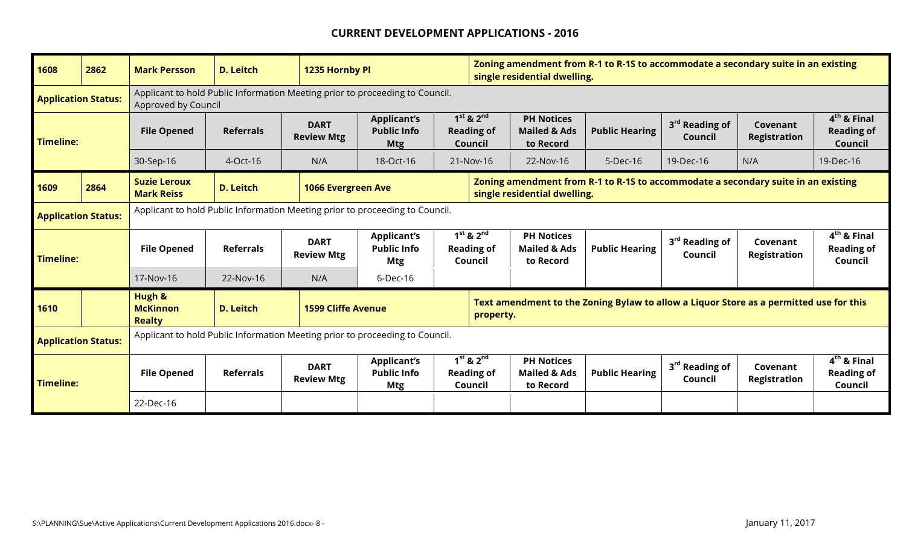| 1608                       | 2862 | <b>Mark Persson</b>                                                                                                                                             | <b>D. Leitch</b> | 1235 Hornby Pl                                                                                                                                 |                                                        |  | Zoning amendment from R-1 to R-1S to accommodate a secondary suite in an existing<br>single residential dwelling. |                                                           |                                                                                        |                                       |                                 |                                               |
|----------------------------|------|-----------------------------------------------------------------------------------------------------------------------------------------------------------------|------------------|------------------------------------------------------------------------------------------------------------------------------------------------|--------------------------------------------------------|--|-------------------------------------------------------------------------------------------------------------------|-----------------------------------------------------------|----------------------------------------------------------------------------------------|---------------------------------------|---------------------------------|-----------------------------------------------|
| <b>Application Status:</b> |      | Applicant to hold Public Information Meeting prior to proceeding to Council.<br>Approved by Council<br>$1st$ & $2nd$<br><b>PH Notices</b><br><b>Applicant's</b> |                  |                                                                                                                                                |                                                        |  |                                                                                                                   |                                                           |                                                                                        |                                       |                                 |                                               |
| <b>Timeline:</b>           |      | <b>File Opened</b>                                                                                                                                              | <b>Referrals</b> | <b>DART</b><br><b>Review Mtg</b>                                                                                                               | <b>Public Info</b><br><b>Mtg</b>                       |  | <b>Reading of</b><br>Council                                                                                      | <b>Mailed &amp; Ads</b><br>to Record                      | <b>Public Hearing</b>                                                                  | 3 <sup>rd</sup> Reading of<br>Council | Covenant<br><b>Registration</b> | $4th$ & Final<br><b>Reading of</b><br>Council |
|                            |      | 30-Sep-16                                                                                                                                                       | $4$ -Oct-16      | N/A                                                                                                                                            | 18-Oct-16                                              |  | 21-Nov-16                                                                                                         | 22-Nov-16                                                 | $5$ -Dec-16                                                                            | 19-Dec-16                             | N/A                             | 19-Dec-16                                     |
| 1609                       | 2864 | <b>Suzie Leroux</b><br><b>Mark Reiss</b>                                                                                                                        | <b>D. Leitch</b> | Zoning amendment from R-1 to R-1S to accommodate a secondary suite in an existing<br><b>1066 Evergreen Ave</b><br>single residential dwelling. |                                                        |  |                                                                                                                   |                                                           |                                                                                        |                                       |                                 |                                               |
| <b>Application Status:</b> |      | Applicant to hold Public Information Meeting prior to proceeding to Council.                                                                                    |                  |                                                                                                                                                |                                                        |  |                                                                                                                   |                                                           |                                                                                        |                                       |                                 |                                               |
| <b>Timeline:</b>           |      | <b>File Opened</b>                                                                                                                                              | <b>Referrals</b> | <b>DART</b><br><b>Review Mtg</b>                                                                                                               | <b>Applicant's</b><br><b>Public Info</b><br><b>Mtg</b> |  | $1st$ & $2nd$<br><b>Reading of</b><br>Council                                                                     | <b>PH Notices</b><br><b>Mailed &amp; Ads</b><br>to Record | <b>Public Hearing</b>                                                                  | 3 <sup>rd</sup> Reading of<br>Council | Covenant<br>Registration        | $4th$ & Final<br><b>Reading of</b><br>Council |
|                            |      | 17-Nov-16                                                                                                                                                       | 22-Nov-16        | N/A                                                                                                                                            | $6$ -Dec-16                                            |  |                                                                                                                   |                                                           |                                                                                        |                                       |                                 |                                               |
| 1610                       |      | Hugh &<br><b>McKinnon</b><br><b>Realty</b>                                                                                                                      | <b>D. Leitch</b> | <b>1599 Cliffe Avenue</b>                                                                                                                      |                                                        |  | property.                                                                                                         |                                                           | Text amendment to the Zoning Bylaw to allow a Liquor Store as a permitted use for this |                                       |                                 |                                               |
| <b>Application Status:</b> |      | Applicant to hold Public Information Meeting prior to proceeding to Council.                                                                                    |                  |                                                                                                                                                |                                                        |  |                                                                                                                   |                                                           |                                                                                        |                                       |                                 |                                               |
| <b>Timeline:</b>           |      | <b>File Opened</b>                                                                                                                                              | <b>Referrals</b> | <b>DART</b><br><b>Review Mtg</b>                                                                                                               | <b>Applicant's</b><br><b>Public Info</b><br><b>Mtg</b> |  | $1st$ & $2nd$<br><b>Reading of</b><br>Council                                                                     | <b>PH Notices</b><br><b>Mailed &amp; Ads</b><br>to Record | <b>Public Hearing</b>                                                                  | 3 <sup>rd</sup> Reading of<br>Council | Covenant<br><b>Registration</b> | $4th$ & Final<br><b>Reading of</b><br>Council |
|                            |      | 22-Dec-16                                                                                                                                                       |                  |                                                                                                                                                |                                                        |  |                                                                                                                   |                                                           |                                                                                        |                                       |                                 |                                               |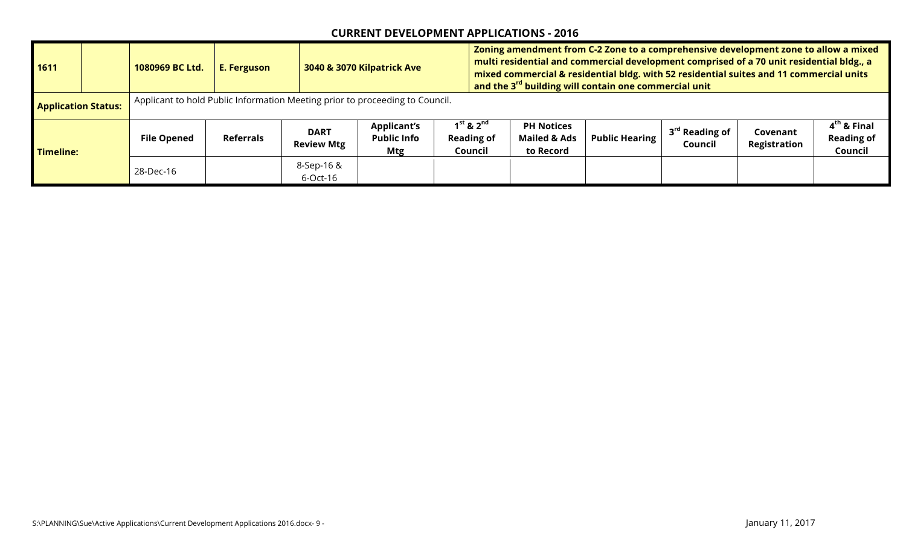| 1611                       | 1080969 BC Ltd.                                                              | <b>E. Ferguson</b> |                                  | 3040 & 3070 Kilpatrick Ave                             |                                                             | Zoning amendment from C-2 Zone to a comprehensive development zone to allow a mixed<br>multi residential and commercial development comprised of a 70 unit residential bldg., a<br>mixed commercial & residential bldg. with 52 residential suites and 11 commercial units<br>and the 3 <sup>rd</sup> building will contain one commercial unit |                       |                                       |                          |                                               |
|----------------------------|------------------------------------------------------------------------------|--------------------|----------------------------------|--------------------------------------------------------|-------------------------------------------------------------|-------------------------------------------------------------------------------------------------------------------------------------------------------------------------------------------------------------------------------------------------------------------------------------------------------------------------------------------------|-----------------------|---------------------------------------|--------------------------|-----------------------------------------------|
| <b>Application Status:</b> | Applicant to hold Public Information Meeting prior to proceeding to Council. |                    |                                  |                                                        |                                                             |                                                                                                                                                                                                                                                                                                                                                 |                       |                                       |                          |                                               |
| <b>Timeline:</b>           | <b>File Opened</b>                                                           | <b>Referrals</b>   | <b>DART</b><br><b>Review Mtg</b> | <b>Applicant's</b><br><b>Public Info</b><br><b>Mtg</b> | $1^{\rm st}$ & $2^{\rm nd}$<br><b>Reading of</b><br>Council | <b>PH Notices</b><br><b>Mailed &amp; Ads</b><br>to Record                                                                                                                                                                                                                                                                                       | <b>Public Hearing</b> | 3 <sup>rd</sup> Reading of<br>Council | Covenant<br>Registration | $4th$ & Final<br><b>Reading of</b><br>Council |
|                            | 28-Dec-16                                                                    |                    | 8-Sep-16 &<br>6-Oct-16           |                                                        |                                                             |                                                                                                                                                                                                                                                                                                                                                 |                       |                                       |                          |                                               |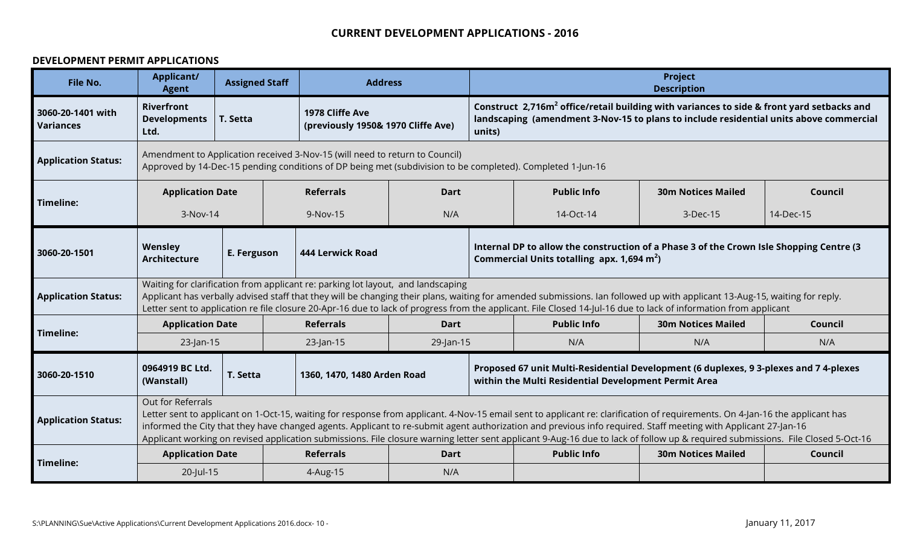#### **DEVELOPMENT PERMIT APPLICATIONS**

| File No.                              | <b>Applicant/</b><br><b>Agent</b>                | <b>Assigned Staff</b> | <b>Address</b>                                                                   |             | <b>Project</b><br><b>Description</b><br>Construct 2,716m <sup>2</sup> office/retail building with variances to side & front yard setbacks and                                                                                                                                                                                                                                                                                                                                                                                     |                                                                                                                                                                                                                                                                                                                                                |                           |         |  |  |
|---------------------------------------|--------------------------------------------------|-----------------------|----------------------------------------------------------------------------------|-------------|-----------------------------------------------------------------------------------------------------------------------------------------------------------------------------------------------------------------------------------------------------------------------------------------------------------------------------------------------------------------------------------------------------------------------------------------------------------------------------------------------------------------------------------|------------------------------------------------------------------------------------------------------------------------------------------------------------------------------------------------------------------------------------------------------------------------------------------------------------------------------------------------|---------------------------|---------|--|--|
| 3060-20-1401 with<br><b>Variances</b> | <b>Riverfront</b><br><b>Developments</b><br>Ltd. | T. Setta              | 1978 Cliffe Ave<br>(previously 1950& 1970 Cliffe Ave)                            |             | units)                                                                                                                                                                                                                                                                                                                                                                                                                                                                                                                            | landscaping (amendment 3-Nov-15 to plans to include residential units above commercial                                                                                                                                                                                                                                                         |                           |         |  |  |
| <b>Application Status:</b>            |                                                  |                       | Amendment to Application received 3-Nov-15 (will need to return to Council)      |             |                                                                                                                                                                                                                                                                                                                                                                                                                                                                                                                                   | Approved by 14-Dec-15 pending conditions of DP being met (subdivision to be completed). Completed 1-Jun-16                                                                                                                                                                                                                                     |                           |         |  |  |
|                                       | <b>Application Date</b>                          |                       | <b>Referrals</b>                                                                 | Dart        |                                                                                                                                                                                                                                                                                                                                                                                                                                                                                                                                   | <b>Public Info</b>                                                                                                                                                                                                                                                                                                                             | <b>30m Notices Mailed</b> | Council |  |  |
| Timeline:                             | 3-Nov-14                                         |                       | 9-Nov-15                                                                         | N/A         | 14-Dec-15<br>14-Oct-14<br>3-Dec-15                                                                                                                                                                                                                                                                                                                                                                                                                                                                                                |                                                                                                                                                                                                                                                                                                                                                |                           |         |  |  |
| 3060-20-1501                          | Wensley<br><b>Architecture</b>                   | E. Ferguson           | 444 Lerwick Road                                                                 |             | Internal DP to allow the construction of a Phase 3 of the Crown Isle Shopping Centre (3<br>Commercial Units totalling apx. 1,694 m <sup>2</sup> )                                                                                                                                                                                                                                                                                                                                                                                 |                                                                                                                                                                                                                                                                                                                                                |                           |         |  |  |
| <b>Application Status:</b>            |                                                  |                       | Waiting for clarification from applicant re: parking lot layout, and landscaping |             |                                                                                                                                                                                                                                                                                                                                                                                                                                                                                                                                   | Applicant has verbally advised staff that they will be changing their plans, waiting for amended submissions. Ian followed up with applicant 13-Aug-15, waiting for reply.<br>Letter sent to application re file closure 20-Apr-16 due to lack of progress from the applicant. File Closed 14-Jul-16 due to lack of information from applicant |                           |         |  |  |
| Timeline:                             | <b>Application Date</b>                          |                       | <b>Referrals</b>                                                                 | <b>Dart</b> |                                                                                                                                                                                                                                                                                                                                                                                                                                                                                                                                   | <b>Public Info</b>                                                                                                                                                                                                                                                                                                                             | <b>30m Notices Mailed</b> | Council |  |  |
|                                       | $23$ -Jan-15                                     |                       | 23-Jan-15                                                                        | 29-Jan-15   |                                                                                                                                                                                                                                                                                                                                                                                                                                                                                                                                   | N/A                                                                                                                                                                                                                                                                                                                                            | N/A                       | N/A     |  |  |
| 3060-20-1510                          | 0964919 BC Ltd.<br>(Wanstall)                    | T. Setta              | 1360, 1470, 1480 Arden Road                                                      |             | Proposed 67 unit Multi-Residential Development (6 duplexes, 9 3-plexes and 7 4-plexes<br>within the Multi Residential Development Permit Area                                                                                                                                                                                                                                                                                                                                                                                     |                                                                                                                                                                                                                                                                                                                                                |                           |         |  |  |
| <b>Application Status:</b>            | Out for Referrals                                |                       |                                                                                  |             | Letter sent to applicant on 1-Oct-15, waiting for response from applicant. 4-Nov-15 email sent to applicant re: clarification of requirements. On 4-Jan-16 the applicant has<br>informed the City that they have changed agents. Applicant to re-submit agent authorization and previous info required. Staff meeting with Applicant 27-Jan-16<br>Applicant working on revised application submissions. File closure warning letter sent applicant 9-Aug-16 due to lack of follow up & required submissions. File Closed 5-Oct-16 |                                                                                                                                                                                                                                                                                                                                                |                           |         |  |  |
| Timeline:                             | <b>Application Date</b>                          |                       | <b>Referrals</b>                                                                 | Dart        |                                                                                                                                                                                                                                                                                                                                                                                                                                                                                                                                   | <b>Public Info</b>                                                                                                                                                                                                                                                                                                                             | <b>30m Notices Mailed</b> | Council |  |  |
|                                       | 20-Jul-15                                        |                       | 4-Aug-15                                                                         | N/A         |                                                                                                                                                                                                                                                                                                                                                                                                                                                                                                                                   |                                                                                                                                                                                                                                                                                                                                                |                           |         |  |  |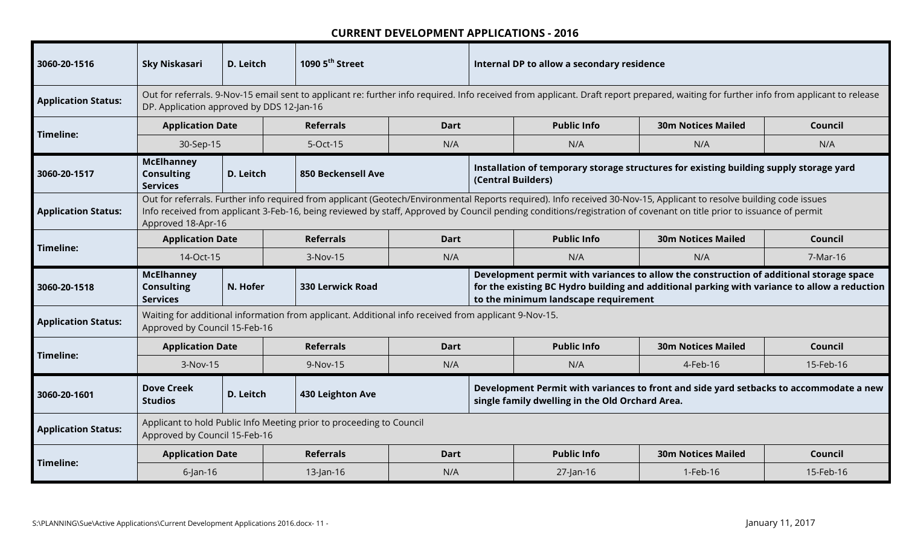| 3060-20-1516               | <b>Sky Niskasari</b>                                      | D. Leitch | 1090 5 <sup>th</sup> Street                                                                          |             | Internal DP to allow a secondary residence<br>Out for referrals. 9-Nov-15 email sent to applicant re: further info required. Info received from applicant. Draft report prepared, waiting for further info from applicant to release |                                                 |                                                                                                                                                                                                                                                                                                                                              |           |  |  |  |  |
|----------------------------|-----------------------------------------------------------|-----------|------------------------------------------------------------------------------------------------------|-------------|--------------------------------------------------------------------------------------------------------------------------------------------------------------------------------------------------------------------------------------|-------------------------------------------------|----------------------------------------------------------------------------------------------------------------------------------------------------------------------------------------------------------------------------------------------------------------------------------------------------------------------------------------------|-----------|--|--|--|--|
| <b>Application Status:</b> | DP. Application approved by DDS 12-Jan-16                 |           |                                                                                                      |             |                                                                                                                                                                                                                                      |                                                 |                                                                                                                                                                                                                                                                                                                                              |           |  |  |  |  |
| Timeline:                  | <b>Application Date</b>                                   |           | <b>Referrals</b>                                                                                     | Dart        |                                                                                                                                                                                                                                      | <b>Public Info</b>                              | <b>30m Notices Mailed</b>                                                                                                                                                                                                                                                                                                                    | Council   |  |  |  |  |
|                            | 30-Sep-15                                                 |           | 5-Oct-15                                                                                             | N/A         |                                                                                                                                                                                                                                      | N/A                                             | N/A                                                                                                                                                                                                                                                                                                                                          | N/A       |  |  |  |  |
| 3060-20-1517               | <b>McElhanney</b><br><b>Consulting</b><br><b>Services</b> | D. Leitch | <b>850 Beckensell Ave</b>                                                                            |             | (Central Builders)                                                                                                                                                                                                                   |                                                 | Installation of temporary storage structures for existing building supply storage yard                                                                                                                                                                                                                                                       |           |  |  |  |  |
| <b>Application Status:</b> | Approved 18-Apr-16                                        |           |                                                                                                      |             |                                                                                                                                                                                                                                      |                                                 | Out for referrals. Further info required from applicant (Geotech/Environmental Reports required). Info received 30-Nov-15, Applicant to resolve building code issues<br>Info received from applicant 3-Feb-16, being reviewed by staff, Approved by Council pending conditions/registration of covenant on title prior to issuance of permit |           |  |  |  |  |
| Timeline:                  | <b>Application Date</b>                                   |           | <b>Referrals</b>                                                                                     | <b>Dart</b> |                                                                                                                                                                                                                                      | <b>Public Info</b>                              | <b>30m Notices Mailed</b>                                                                                                                                                                                                                                                                                                                    | Council   |  |  |  |  |
|                            | 14-Oct-15                                                 |           | 3-Nov-15                                                                                             | N/A         | N/A<br>N/A<br>7-Mar-16                                                                                                                                                                                                               |                                                 |                                                                                                                                                                                                                                                                                                                                              |           |  |  |  |  |
|                            |                                                           |           |                                                                                                      |             | Development permit with variances to allow the construction of additional storage space<br>for the existing BC Hydro building and additional parking with variance to allow a reduction                                              |                                                 |                                                                                                                                                                                                                                                                                                                                              |           |  |  |  |  |
| 3060-20-1518               | <b>McElhanney</b><br><b>Consulting</b><br><b>Services</b> | N. Hofer  | <b>330 Lerwick Road</b>                                                                              |             |                                                                                                                                                                                                                                      | to the minimum landscape requirement            |                                                                                                                                                                                                                                                                                                                                              |           |  |  |  |  |
| <b>Application Status:</b> | Approved by Council 15-Feb-16                             |           | Waiting for additional information from applicant. Additional info received from applicant 9-Nov-15. |             |                                                                                                                                                                                                                                      |                                                 |                                                                                                                                                                                                                                                                                                                                              |           |  |  |  |  |
|                            | <b>Application Date</b>                                   |           | <b>Referrals</b>                                                                                     | <b>Dart</b> |                                                                                                                                                                                                                                      | <b>Public Info</b>                              | <b>30m Notices Mailed</b>                                                                                                                                                                                                                                                                                                                    | Council   |  |  |  |  |
| Timeline:                  | 3-Nov-15                                                  |           | 9-Nov-15                                                                                             | N/A         |                                                                                                                                                                                                                                      | N/A                                             | 4-Feb-16                                                                                                                                                                                                                                                                                                                                     | 15-Feb-16 |  |  |  |  |
| 3060-20-1601               | <b>Dove Creek</b><br><b>Studios</b>                       | D. Leitch | 430 Leighton Ave                                                                                     |             |                                                                                                                                                                                                                                      | single family dwelling in the Old Orchard Area. | Development Permit with variances to front and side yard setbacks to accommodate a new                                                                                                                                                                                                                                                       |           |  |  |  |  |
| <b>Application Status:</b> | Approved by Council 15-Feb-16                             |           | Applicant to hold Public Info Meeting prior to proceeding to Council                                 |             |                                                                                                                                                                                                                                      |                                                 |                                                                                                                                                                                                                                                                                                                                              |           |  |  |  |  |
| Timeline:                  | <b>Application Date</b>                                   |           | <b>Referrals</b>                                                                                     | <b>Dart</b> |                                                                                                                                                                                                                                      | <b>Public Info</b>                              | <b>30m Notices Mailed</b>                                                                                                                                                                                                                                                                                                                    | Council   |  |  |  |  |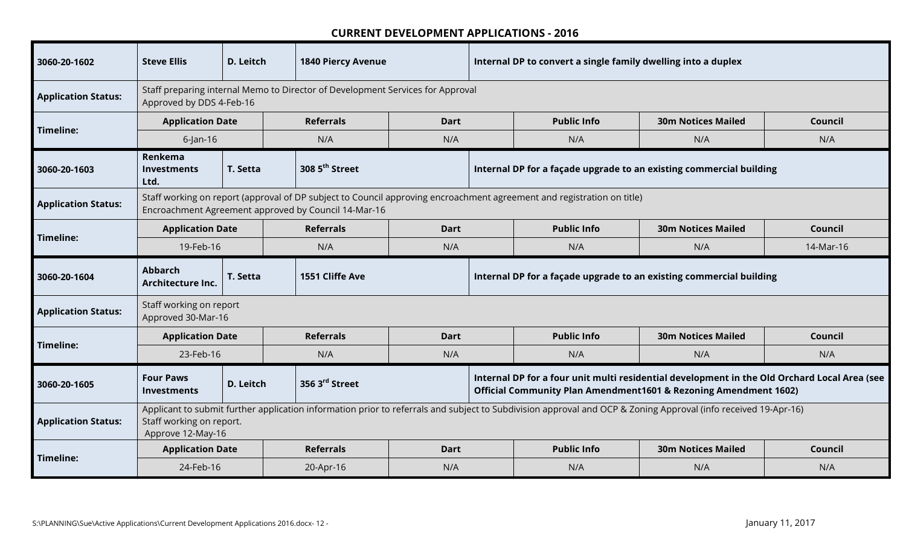| 3060-20-1602               | <b>Steve Ellis</b>                                                                                                                                                                                                                     | D. Leitch | <b>1840 Piercy Avenue</b>  |             | Internal DP to convert a single family dwelling into a duplex                                                                                                    |                                                                     |                           |           |  |  |
|----------------------------|----------------------------------------------------------------------------------------------------------------------------------------------------------------------------------------------------------------------------------------|-----------|----------------------------|-------------|------------------------------------------------------------------------------------------------------------------------------------------------------------------|---------------------------------------------------------------------|---------------------------|-----------|--|--|
| <b>Application Status:</b> | Staff preparing internal Memo to Director of Development Services for Approval<br>Approved by DDS 4-Feb-16<br><b>Public Info</b><br><b>30m Notices Mailed</b><br><b>Application Date</b><br><b>Referrals</b><br><b>Dart</b><br>Council |           |                            |             |                                                                                                                                                                  |                                                                     |                           |           |  |  |
|                            | $6$ -Jan-16<br>N/A<br>N/A<br>N/A<br>N/A<br>N/A                                                                                                                                                                                         |           |                            |             |                                                                                                                                                                  |                                                                     |                           |           |  |  |
| Timeline:                  |                                                                                                                                                                                                                                        |           |                            |             |                                                                                                                                                                  |                                                                     |                           |           |  |  |
| 3060-20-1603               | Renkema<br><b>Investments</b><br>Ltd.                                                                                                                                                                                                  | T. Setta  | 308 5 <sup>th</sup> Street |             |                                                                                                                                                                  | Internal DP for a façade upgrade to an existing commercial building |                           |           |  |  |
| <b>Application Status:</b> | Staff working on report (approval of DP subject to Council approving encroachment agreement and registration on title)<br>Encroachment Agreement approved by Council 14-Mar-16                                                         |           |                            |             |                                                                                                                                                                  |                                                                     |                           |           |  |  |
| Timeline:                  | <b>Application Date</b>                                                                                                                                                                                                                |           | <b>Referrals</b>           | <b>Dart</b> | <b>Public Info</b><br><b>30m Notices Mailed</b><br>Council                                                                                                       |                                                                     |                           |           |  |  |
|                            | 19-Feb-16                                                                                                                                                                                                                              |           | N/A                        | N/A         |                                                                                                                                                                  | N/A                                                                 | N/A                       | 14-Mar-16 |  |  |
| 3060-20-1604               | <b>Abbarch</b><br>Architecture Inc.                                                                                                                                                                                                    | T. Setta  | 1551 Cliffe Ave            |             |                                                                                                                                                                  | Internal DP for a façade upgrade to an existing commercial building |                           |           |  |  |
| <b>Application Status:</b> | Staff working on report<br>Approved 30-Mar-16                                                                                                                                                                                          |           |                            |             |                                                                                                                                                                  |                                                                     |                           |           |  |  |
| Timeline:                  | <b>Application Date</b>                                                                                                                                                                                                                |           | <b>Referrals</b>           | <b>Dart</b> |                                                                                                                                                                  | <b>Public Info</b>                                                  | <b>30m Notices Mailed</b> | Council   |  |  |
|                            | 23-Feb-16                                                                                                                                                                                                                              |           | N/A                        | N/A         |                                                                                                                                                                  | N/A                                                                 | N/A                       | N/A       |  |  |
| 3060-20-1605               | <b>Four Paws</b><br><b>Investments</b>                                                                                                                                                                                                 | D. Leitch | 356 3 <sup>rd</sup> Street |             | Internal DP for a four unit multi residential development in the Old Orchard Local Area (see<br>Official Community Plan Amendment1601 & Rezoning Amendment 1602) |                                                                     |                           |           |  |  |
| <b>Application Status:</b> | Staff working on report.<br>Approve 12-May-16                                                                                                                                                                                          |           |                            |             | Applicant to submit further application information prior to referrals and subject to Subdivision approval and OCP & Zoning Approval (info received 19-Apr-16)   |                                                                     |                           |           |  |  |
| Timeline:                  | <b>Application Date</b>                                                                                                                                                                                                                |           | <b>Referrals</b>           | <b>Dart</b> |                                                                                                                                                                  | <b>Public Info</b>                                                  | <b>30m Notices Mailed</b> | Council   |  |  |
|                            | 24-Feb-16                                                                                                                                                                                                                              |           | 20-Apr-16                  | N/A         |                                                                                                                                                                  | N/A                                                                 | N/A                       | N/A       |  |  |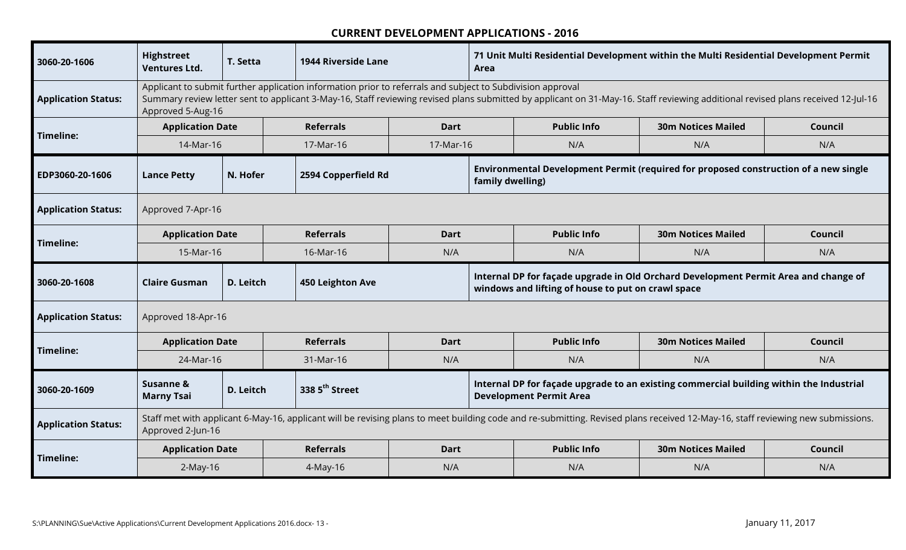| 3060-20-1606               | <b>Highstreet</b><br><b>Ventures Ltd.</b> | T. Setta  | <b>1944 Riverside Lane</b> | 71 Unit Multi Residential Development within the Multi Residential Development Permit<br>Area<br>Applicant to submit further application information prior to referrals and subject to Subdivision approval |                  |                                                                                                                                                                                  |                           |         |
|----------------------------|-------------------------------------------|-----------|----------------------------|-------------------------------------------------------------------------------------------------------------------------------------------------------------------------------------------------------------|------------------|----------------------------------------------------------------------------------------------------------------------------------------------------------------------------------|---------------------------|---------|
| <b>Application Status:</b> | Approved 5-Aug-16                         |           |                            |                                                                                                                                                                                                             |                  | Summary review letter sent to applicant 3-May-16, Staff reviewing revised plans submitted by applicant on 31-May-16. Staff reviewing additional revised plans received 12-Jul-16 |                           |         |
| <b>Timeline:</b>           | <b>Application Date</b>                   |           | <b>Referrals</b>           | <b>Dart</b>                                                                                                                                                                                                 |                  | <b>Public Info</b>                                                                                                                                                               | <b>30m Notices Mailed</b> | Council |
|                            | 14-Mar-16                                 |           | 17-Mar-16<br>17-Mar-16     |                                                                                                                                                                                                             |                  | N/A                                                                                                                                                                              | N/A                       | N/A     |
| EDP3060-20-1606            | <b>Lance Petty</b>                        | N. Hofer  | 2594 Copperfield Rd        |                                                                                                                                                                                                             | family dwelling) | Environmental Development Permit (required for proposed construction of a new single                                                                                             |                           |         |
| <b>Application Status:</b> | Approved 7-Apr-16                         |           |                            |                                                                                                                                                                                                             |                  |                                                                                                                                                                                  |                           |         |
|                            | <b>Application Date</b>                   |           | <b>Referrals</b>           | <b>Dart</b>                                                                                                                                                                                                 |                  | <b>Public Info</b>                                                                                                                                                               | <b>30m Notices Mailed</b> | Council |
| Timeline:                  | 15-Mar-16                                 |           | 16-Mar-16                  | N/A                                                                                                                                                                                                         |                  | N/A                                                                                                                                                                              | N/A                       | N/A     |
|                            |                                           |           | 450 Leighton Ave           |                                                                                                                                                                                                             |                  |                                                                                                                                                                                  |                           |         |
| 3060-20-1608               | <b>Claire Gusman</b>                      | D. Leitch |                            |                                                                                                                                                                                                             |                  | Internal DP for façade upgrade in Old Orchard Development Permit Area and change of<br>windows and lifting of house to put on crawl space                                        |                           |         |
| <b>Application Status:</b> | Approved 18-Apr-16                        |           |                            |                                                                                                                                                                                                             |                  |                                                                                                                                                                                  |                           |         |
|                            | <b>Application Date</b>                   |           | <b>Referrals</b>           | <b>Dart</b>                                                                                                                                                                                                 |                  | <b>Public Info</b>                                                                                                                                                               | <b>30m Notices Mailed</b> | Council |
| Timeline:                  | 24-Mar-16                                 |           | 31-Mar-16                  | N/A                                                                                                                                                                                                         |                  | N/A                                                                                                                                                                              | N/A                       | N/A     |
| 3060-20-1609               | Susanne &<br><b>Marny Tsai</b>            | D. Leitch | 338 5 <sup>th</sup> Street |                                                                                                                                                                                                             |                  | Internal DP for façade upgrade to an existing commercial building within the Industrial<br><b>Development Permit Area</b>                                                        |                           |         |
| <b>Application Status:</b> | Approved 2-Jun-16                         |           |                            |                                                                                                                                                                                                             |                  | Staff met with applicant 6-May-16, applicant will be revising plans to meet building code and re-submitting. Revised plans received 12-May-16, staff reviewing new submissions.  |                           |         |
| Timeline:                  | <b>Application Date</b>                   |           | <b>Referrals</b>           | <b>Dart</b>                                                                                                                                                                                                 |                  | <b>Public Info</b>                                                                                                                                                               | <b>30m Notices Mailed</b> | Council |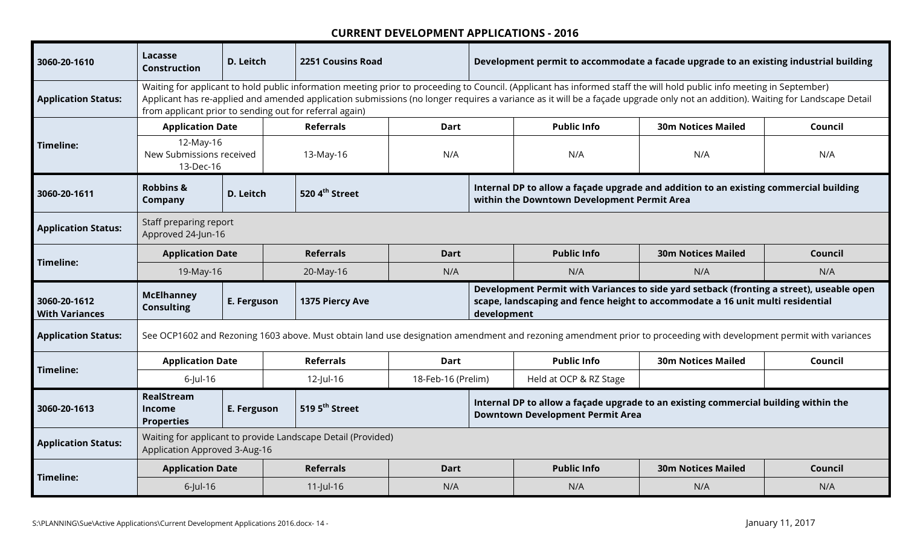| 3060-20-1610                          | Lacasse<br><b>Construction</b>                          | D. Leitch   | 2251 Cousins Road                                            |                    |             | Development permit to accommodate a facade upgrade to an existing industrial building                                                                                                                                                                                                                                                                    |                           |         |
|---------------------------------------|---------------------------------------------------------|-------------|--------------------------------------------------------------|--------------------|-------------|----------------------------------------------------------------------------------------------------------------------------------------------------------------------------------------------------------------------------------------------------------------------------------------------------------------------------------------------------------|---------------------------|---------|
| <b>Application Status:</b>            | from applicant prior to sending out for referral again) |             |                                                              |                    |             | Waiting for applicant to hold public information meeting prior to proceeding to Council. (Applicant has informed staff the will hold public info meeting in September)<br>Applicant has re-applied and amended application submissions (no longer requires a variance as it will be a façade upgrade only not an addition). Waiting for Landscape Detail |                           |         |
|                                       | <b>Application Date</b>                                 |             | <b>Referrals</b>                                             | Dart               |             | <b>Public Info</b>                                                                                                                                                                                                                                                                                                                                       | <b>30m Notices Mailed</b> | Council |
| Timeline:                             | 12-May-16<br>New Submissions received<br>13-Dec-16      |             | 13-May-16                                                    | N/A                |             | N/A                                                                                                                                                                                                                                                                                                                                                      | N/A                       | N/A     |
| 3060-20-1611                          | <b>Robbins &amp;</b><br>Company                         | D. Leitch   | 520 4 <sup>th</sup> Street                                   |                    |             | Internal DP to allow a façade upgrade and addition to an existing commercial building<br>within the Downtown Development Permit Area                                                                                                                                                                                                                     |                           |         |
| <b>Application Status:</b>            | Staff preparing report<br>Approved 24-Jun-16            |             |                                                              |                    |             |                                                                                                                                                                                                                                                                                                                                                          |                           |         |
| Timeline:                             | <b>Application Date</b>                                 |             | <b>Referrals</b>                                             | <b>Dart</b>        |             | <b>Public Info</b>                                                                                                                                                                                                                                                                                                                                       | <b>30m Notices Mailed</b> | Council |
|                                       | 19-May-16                                               |             | 20-May-16                                                    | N/A                |             | N/A                                                                                                                                                                                                                                                                                                                                                      | N/A                       | N/A     |
| 3060-20-1612<br><b>With Variances</b> | <b>McElhanney</b><br><b>Consulting</b>                  | E. Ferguson | 1375 Piercy Ave                                              |                    | development | Development Permit with Variances to side yard setback (fronting a street), useable open<br>scape, landscaping and fence height to accommodate a 16 unit multi residential                                                                                                                                                                               |                           |         |
| <b>Application Status:</b>            |                                                         |             |                                                              |                    |             | See OCP1602 and Rezoning 1603 above. Must obtain land use designation amendment and rezoning amendment prior to proceeding with development permit with variances                                                                                                                                                                                        |                           |         |
| Timeline:                             | <b>Application Date</b>                                 |             | <b>Referrals</b>                                             | Dart               |             | <b>Public Info</b>                                                                                                                                                                                                                                                                                                                                       | <b>30m Notices Mailed</b> | Council |
|                                       | $6$ -Jul-16                                             |             | 12-Jul-16                                                    | 18-Feb-16 (Prelim) |             | Held at OCP & RZ Stage                                                                                                                                                                                                                                                                                                                                   |                           |         |
| 3060-20-1613                          | RealStream<br>Income<br><b>Properties</b>               | E. Ferguson | 519 5 <sup>th</sup> Street                                   |                    |             | Internal DP to allow a façade upgrade to an existing commercial building within the<br><b>Downtown Development Permit Area</b>                                                                                                                                                                                                                           |                           |         |
| <b>Application Status:</b>            | Application Approved 3-Aug-16                           |             | Waiting for applicant to provide Landscape Detail (Provided) |                    |             |                                                                                                                                                                                                                                                                                                                                                          |                           |         |
| Timeline:                             | <b>Application Date</b>                                 |             | <b>Referrals</b>                                             | <b>Dart</b>        |             | <b>Public Info</b>                                                                                                                                                                                                                                                                                                                                       | <b>30m Notices Mailed</b> | Council |
|                                       | $6$ -Jul-16                                             |             | $11$ -Jul-16                                                 | N/A                |             | N/A                                                                                                                                                                                                                                                                                                                                                      | N/A                       | N/A     |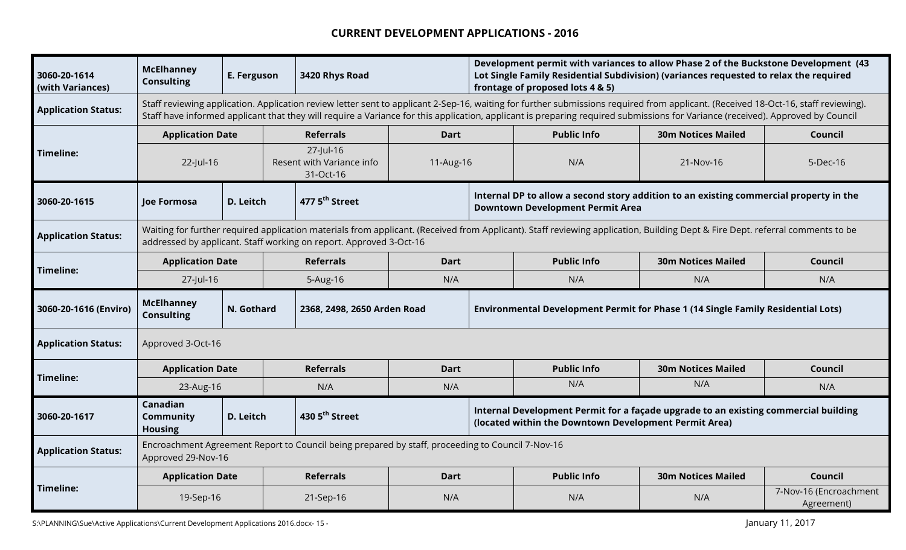| 3060-20-1614<br>(with Variances) | <b>McElhanney</b><br><b>Consulting</b>  | E. Ferguson                                         |  | 3420 Rhys Road                                                                                   |                  |                                                                                                                                                                                                                                                                                                                                                                      | Development permit with variances to allow Phase 2 of the Buckstone Development (43<br>Lot Single Family Residential Subdivision) (variances requested to relax the required<br>frontage of proposed lots 4 & 5) |                           |                                      |
|----------------------------------|-----------------------------------------|-----------------------------------------------------|--|--------------------------------------------------------------------------------------------------|------------------|----------------------------------------------------------------------------------------------------------------------------------------------------------------------------------------------------------------------------------------------------------------------------------------------------------------------------------------------------------------------|------------------------------------------------------------------------------------------------------------------------------------------------------------------------------------------------------------------|---------------------------|--------------------------------------|
| <b>Application Status:</b>       |                                         |                                                     |  |                                                                                                  |                  | Staff reviewing application. Application review letter sent to applicant 2-Sep-16, waiting for further submissions required from applicant. (Received 18-Oct-16, staff reviewing).<br>Staff have informed applicant that they will require a Variance for this application, applicant is preparing required submissions for Variance (received). Approved by Council |                                                                                                                                                                                                                  |                           |                                      |
|                                  | <b>Application Date</b>                 |                                                     |  | <b>Referrals</b>                                                                                 | <b>Dart</b>      |                                                                                                                                                                                                                                                                                                                                                                      | <b>Public Info</b>                                                                                                                                                                                               | <b>30m Notices Mailed</b> | Council                              |
| Timeline:                        | 22-Jul-16                               | 27-Jul-16<br>Resent with Variance info<br>31-Oct-16 |  |                                                                                                  | 11-Aug-16<br>N/A |                                                                                                                                                                                                                                                                                                                                                                      | 21-Nov-16                                                                                                                                                                                                        | 5-Dec-16                  |                                      |
| 3060-20-1615                     | Joe Formosa                             | D. Leitch                                           |  | 477 5 <sup>th</sup> Street                                                                       |                  |                                                                                                                                                                                                                                                                                                                                                                      | Internal DP to allow a second story addition to an existing commercial property in the<br><b>Downtown Development Permit Area</b>                                                                                |                           |                                      |
| <b>Application Status:</b>       |                                         |                                                     |  | addressed by applicant. Staff working on report. Approved 3-Oct-16                               |                  |                                                                                                                                                                                                                                                                                                                                                                      | Waiting for further required application materials from applicant. (Received from Applicant). Staff reviewing application, Building Dept & Fire Dept. referral comments to be                                    |                           |                                      |
| Timeline:                        | <b>Application Date</b>                 |                                                     |  | <b>Referrals</b>                                                                                 | <b>Dart</b>      |                                                                                                                                                                                                                                                                                                                                                                      | <b>Public Info</b>                                                                                                                                                                                               | <b>30m Notices Mailed</b> | Council                              |
|                                  | 27-Jul-16                               |                                                     |  | 5-Aug-16                                                                                         | N/A              |                                                                                                                                                                                                                                                                                                                                                                      | N/A                                                                                                                                                                                                              | N/A                       | N/A                                  |
| 3060-20-1616 (Enviro)            | <b>McElhanney</b><br><b>Consulting</b>  | N. Gothard                                          |  | 2368, 2498, 2650 Arden Road                                                                      |                  |                                                                                                                                                                                                                                                                                                                                                                      | Environmental Development Permit for Phase 1 (14 Single Family Residential Lots)                                                                                                                                 |                           |                                      |
| <b>Application Status:</b>       | Approved 3-Oct-16                       |                                                     |  |                                                                                                  |                  |                                                                                                                                                                                                                                                                                                                                                                      |                                                                                                                                                                                                                  |                           |                                      |
| Timeline:                        | <b>Application Date</b>                 |                                                     |  | <b>Referrals</b>                                                                                 | <b>Dart</b>      |                                                                                                                                                                                                                                                                                                                                                                      | <b>Public Info</b>                                                                                                                                                                                               | <b>30m Notices Mailed</b> | Council                              |
|                                  | 23-Aug-16                               |                                                     |  | N/A                                                                                              | N/A              |                                                                                                                                                                                                                                                                                                                                                                      | N/A                                                                                                                                                                                                              | N/A                       | N/A                                  |
| 3060-20-1617                     | Canadian<br>Community<br><b>Housing</b> | D. Leitch                                           |  | 430 5 <sup>th</sup> Street                                                                       |                  |                                                                                                                                                                                                                                                                                                                                                                      | Internal Development Permit for a façade upgrade to an existing commercial building<br>(located within the Downtown Development Permit Area)                                                                     |                           |                                      |
| <b>Application Status:</b>       | Approved 29-Nov-16                      |                                                     |  | Encroachment Agreement Report to Council being prepared by staff, proceeding to Council 7-Nov-16 |                  |                                                                                                                                                                                                                                                                                                                                                                      |                                                                                                                                                                                                                  |                           |                                      |
|                                  | <b>Application Date</b>                 |                                                     |  | <b>Referrals</b>                                                                                 | <b>Dart</b>      |                                                                                                                                                                                                                                                                                                                                                                      | <b>Public Info</b>                                                                                                                                                                                               | <b>30m Notices Mailed</b> | Council                              |
| Timeline:                        | 19-Sep-16                               |                                                     |  | 21-Sep-16                                                                                        | N/A              |                                                                                                                                                                                                                                                                                                                                                                      | N/A                                                                                                                                                                                                              | N/A                       | 7-Nov-16 (Encroachment<br>Agreement) |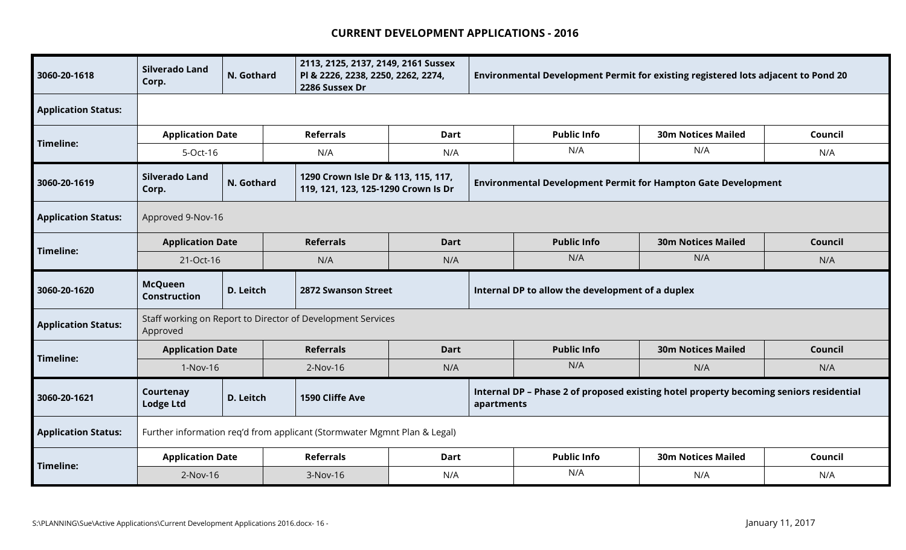| 3060-20-1618               | <b>Silverado Land</b><br>Corp.        | N. Gothard | 2286 Sussex Dr                                              | 2113, 2125, 2137, 2149, 2161 Sussex<br>PI & 2226, 2238, 2250, 2262, 2274,  |            | Environmental Development Permit for existing registered lots adjacent to Pond 20      |                           |         |
|----------------------------|---------------------------------------|------------|-------------------------------------------------------------|----------------------------------------------------------------------------|------------|----------------------------------------------------------------------------------------|---------------------------|---------|
| <b>Application Status:</b> |                                       |            |                                                             |                                                                            |            |                                                                                        |                           |         |
| Timeline:                  | <b>Application Date</b>               |            | <b>Referrals</b>                                            | <b>Dart</b>                                                                |            | <b>Public Info</b>                                                                     | <b>30m Notices Mailed</b> | Council |
|                            | 5-Oct-16                              |            | N/A                                                         | N/A                                                                        |            | N/A                                                                                    | N/A                       | N/A     |
| 3060-20-1619               | Silverado Land<br>Corp.               | N. Gothard |                                                             | 1290 Crown Isle Dr & 113, 115, 117,<br>119, 121, 123, 125-1290 Crown Is Dr |            | <b>Environmental Development Permit for Hampton Gate Development</b>                   |                           |         |
| <b>Application Status:</b> | Approved 9-Nov-16                     |            |                                                             |                                                                            |            |                                                                                        |                           |         |
|                            | <b>Application Date</b>               |            | <b>Referrals</b>                                            | <b>Dart</b>                                                                |            | <b>Public Info</b>                                                                     | <b>30m Notices Mailed</b> | Council |
| <b>Timeline:</b>           | 21-Oct-16                             |            | N/A                                                         | N/A                                                                        |            | N/A                                                                                    | N/A                       | N/A     |
|                            |                                       |            |                                                             |                                                                            |            |                                                                                        |                           |         |
| 3060-20-1620               | <b>McQueen</b><br><b>Construction</b> | D. Leitch  | <b>2872 Swanson Street</b>                                  |                                                                            |            | Internal DP to allow the development of a duplex                                       |                           |         |
| <b>Application Status:</b> | Approved                              |            | Staff working on Report to Director of Development Services |                                                                            |            |                                                                                        |                           |         |
|                            | <b>Application Date</b>               |            | <b>Referrals</b>                                            | <b>Dart</b>                                                                |            | <b>Public Info</b>                                                                     | <b>30m Notices Mailed</b> | Council |
| <b>Timeline:</b>           | 1-Nov-16                              |            | $2-Nov-16$                                                  | N/A                                                                        |            | N/A                                                                                    | N/A                       | N/A     |
| 3060-20-1621               | Courtenay<br><b>Lodge Ltd</b>         | D. Leitch  | 1590 Cliffe Ave                                             |                                                                            | apartments | Internal DP - Phase 2 of proposed existing hotel property becoming seniors residential |                           |         |
| <b>Application Status:</b> |                                       |            |                                                             | Further information req'd from applicant (Stormwater Mgmnt Plan & Legal)   |            |                                                                                        |                           |         |
| Timeline:                  | <b>Application Date</b>               |            | <b>Referrals</b>                                            | <b>Dart</b>                                                                |            | <b>Public Info</b>                                                                     | <b>30m Notices Mailed</b> | Council |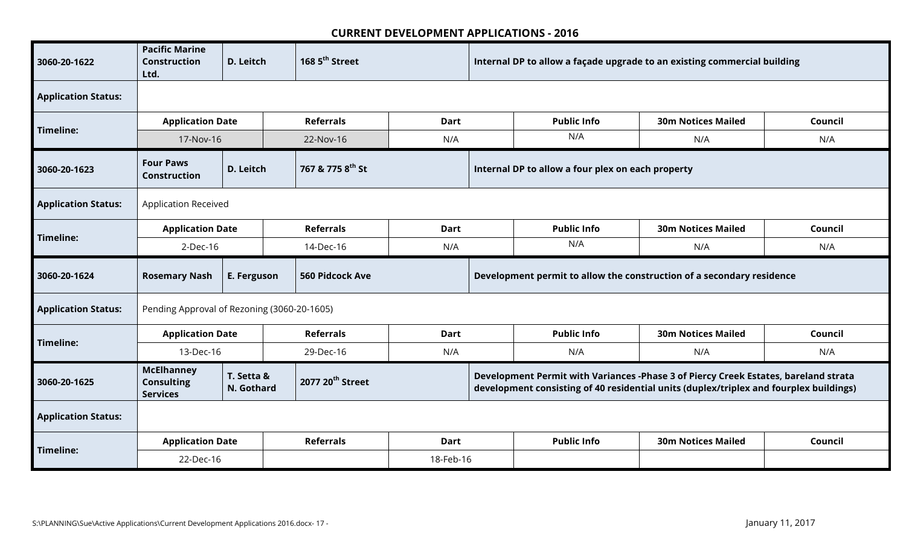| 3060-20-1622               | <b>Pacific Marine</b><br><b>Construction</b><br>Ltd.      | D. Leitch                | 168 5 <sup>th</sup> Street   |             | Internal DP to allow a façade upgrade to an existing commercial building                                                                                                      |                           |         |
|----------------------------|-----------------------------------------------------------|--------------------------|------------------------------|-------------|-------------------------------------------------------------------------------------------------------------------------------------------------------------------------------|---------------------------|---------|
| <b>Application Status:</b> |                                                           |                          |                              |             |                                                                                                                                                                               |                           |         |
| <b>Timeline:</b>           | <b>Application Date</b>                                   |                          | <b>Referrals</b>             | <b>Dart</b> | <b>Public Info</b>                                                                                                                                                            | <b>30m Notices Mailed</b> | Council |
|                            | 17-Nov-16                                                 |                          | 22-Nov-16                    | N/A         | N/A                                                                                                                                                                           | N/A                       | N/A     |
| 3060-20-1623               | <b>Four Paws</b><br><b>Construction</b>                   | D. Leitch                | 767 & 775 8th St             |             | Internal DP to allow a four plex on each property                                                                                                                             |                           |         |
| <b>Application Status:</b> | <b>Application Received</b>                               |                          |                              |             |                                                                                                                                                                               |                           |         |
| <b>Timeline:</b>           | <b>Application Date</b>                                   |                          | <b>Referrals</b>             | <b>Dart</b> | <b>Public Info</b>                                                                                                                                                            | <b>30m Notices Mailed</b> | Council |
|                            | 2-Dec-16                                                  |                          | 14-Dec-16                    | N/A         | N/A                                                                                                                                                                           | N/A                       | N/A     |
|                            |                                                           |                          |                              |             |                                                                                                                                                                               |                           |         |
| 3060-20-1624               | <b>Rosemary Nash</b>                                      | E. Ferguson              | <b>560 Pidcock Ave</b>       |             | Development permit to allow the construction of a secondary residence                                                                                                         |                           |         |
| <b>Application Status:</b> | Pending Approval of Rezoning (3060-20-1605)               |                          |                              |             |                                                                                                                                                                               |                           |         |
|                            | <b>Application Date</b>                                   |                          | <b>Referrals</b>             | <b>Dart</b> | <b>Public Info</b>                                                                                                                                                            | <b>30m Notices Mailed</b> | Council |
| Timeline:                  | 13-Dec-16                                                 |                          | 29-Dec-16                    | N/A         | N/A                                                                                                                                                                           | N/A                       | N/A     |
| 3060-20-1625               | <b>McElhanney</b><br><b>Consulting</b><br><b>Services</b> | T. Setta &<br>N. Gothard | 2077 20 <sup>th</sup> Street |             | Development Permit with Variances -Phase 3 of Piercy Creek Estates, bareland strata<br>development consisting of 40 residential units (duplex/triplex and fourplex buildings) |                           |         |
| <b>Application Status:</b> |                                                           |                          |                              |             |                                                                                                                                                                               |                           |         |
| <b>Timeline:</b>           | <b>Application Date</b>                                   |                          | <b>Referrals</b>             | <b>Dart</b> | <b>Public Info</b>                                                                                                                                                            | <b>30m Notices Mailed</b> | Council |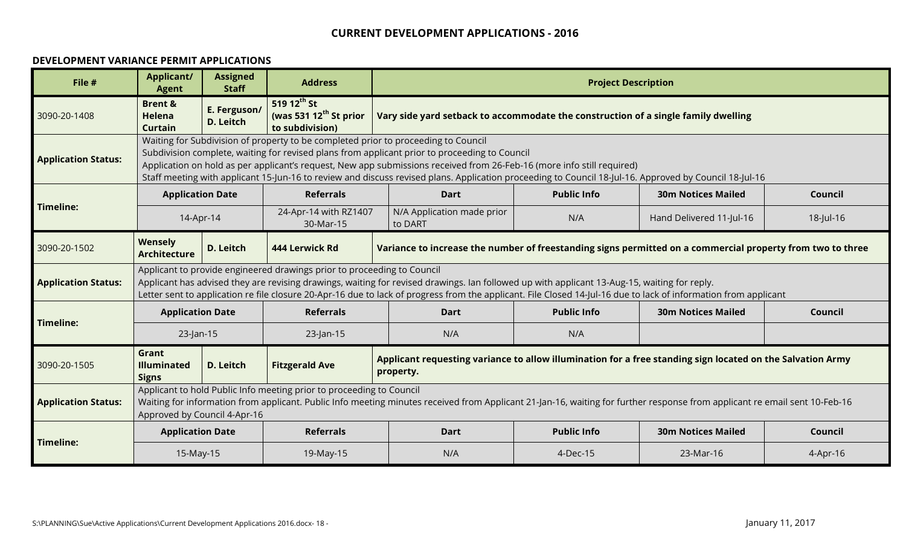#### **DEVELOPMENT VARIANCE PERMIT APPLICATIONS**

| File #                     | <b>Applicant/</b><br><b>Agent</b>              | <b>Assigned</b><br><b>Staff</b> | <b>Address</b>                                                          |                                                                                                                                                                                                                                                                                                                                                                                                                                                                         | <b>Project Description</b> |                           |           |
|----------------------------|------------------------------------------------|---------------------------------|-------------------------------------------------------------------------|-------------------------------------------------------------------------------------------------------------------------------------------------------------------------------------------------------------------------------------------------------------------------------------------------------------------------------------------------------------------------------------------------------------------------------------------------------------------------|----------------------------|---------------------------|-----------|
| 3090-20-1408               | <b>Brent &amp;</b><br>Helena<br><b>Curtain</b> | E. Ferguson/<br>D. Leitch       | 519 $12^{th}$ St<br>(was 531 $12^{th}$ St prior<br>to subdivision)      | Vary side yard setback to accommodate the construction of a single family dwelling                                                                                                                                                                                                                                                                                                                                                                                      |                            |                           |           |
| <b>Application Status:</b> |                                                |                                 |                                                                         | Waiting for Subdivision of property to be completed prior to proceeding to Council<br>Subdivision complete, waiting for revised plans from applicant prior to proceeding to Council<br>Application on hold as per applicant's request, New app submissions received from 26-Feb-16 (more info still required)<br>Staff meeting with applicant 15-Jun-16 to review and discuss revised plans. Application proceeding to Council 18-Jul-16. Approved by Council 18-Jul-16 |                            |                           |           |
|                            | <b>Application Date</b>                        |                                 | <b>Referrals</b>                                                        | <b>Dart</b>                                                                                                                                                                                                                                                                                                                                                                                                                                                             | <b>Public Info</b>         | <b>30m Notices Mailed</b> | Council   |
| <b>Timeline:</b>           | 14-Apr-14                                      |                                 | 24-Apr-14 with RZ1407<br>30-Mar-15                                      | N/A Application made prior<br>to DART                                                                                                                                                                                                                                                                                                                                                                                                                                   | N/A                        | Hand Delivered 11-Jul-16  | 18-Jul-16 |
| 3090-20-1502               | <b>Wensely</b><br><b>Architecture</b>          | D. Leitch                       | 444 Lerwick Rd                                                          | Variance to increase the number of freestanding signs permitted on a commercial property from two to three                                                                                                                                                                                                                                                                                                                                                              |                            |                           |           |
| <b>Application Status:</b> |                                                |                                 | Applicant to provide engineered drawings prior to proceeding to Council | Applicant has advised they are revising drawings, waiting for revised drawings. Ian followed up with applicant 13-Aug-15, waiting for reply.<br>Letter sent to application re file closure 20-Apr-16 due to lack of progress from the applicant. File Closed 14-Jul-16 due to lack of information from applicant                                                                                                                                                        |                            |                           |           |
|                            | <b>Application Date</b>                        |                                 | <b>Referrals</b>                                                        | <b>Dart</b>                                                                                                                                                                                                                                                                                                                                                                                                                                                             | <b>Public Info</b>         | <b>30m Notices Mailed</b> | Council   |
| <b>Timeline:</b>           | $23$ -Jan-15                                   |                                 | 23-Jan-15                                                               | N/A                                                                                                                                                                                                                                                                                                                                                                                                                                                                     | N/A                        |                           |           |
| 3090-20-1505               | Grant<br><b>Illuminated</b><br><b>Signs</b>    | D. Leitch                       | <b>Fitzgerald Ave</b>                                                   | Applicant requesting variance to allow illumination for a free standing sign located on the Salvation Army<br>property.                                                                                                                                                                                                                                                                                                                                                 |                            |                           |           |
| <b>Application Status:</b> | Approved by Council 4-Apr-16                   |                                 | Applicant to hold Public Info meeting prior to proceeding to Council    | Waiting for information from applicant. Public Info meeting minutes received from Applicant 21-Jan-16, waiting for further response from applicant re email sent 10-Feb-16                                                                                                                                                                                                                                                                                              |                            |                           |           |
|                            | <b>Application Date</b>                        |                                 | <b>Referrals</b>                                                        | <b>Dart</b>                                                                                                                                                                                                                                                                                                                                                                                                                                                             | <b>Public Info</b>         | <b>30m Notices Mailed</b> | Council   |
| <b>Timeline:</b>           | 15-May-15                                      |                                 | 19-May-15                                                               | N/A                                                                                                                                                                                                                                                                                                                                                                                                                                                                     | 4-Dec-15                   | 23-Mar-16                 | 4-Apr-16  |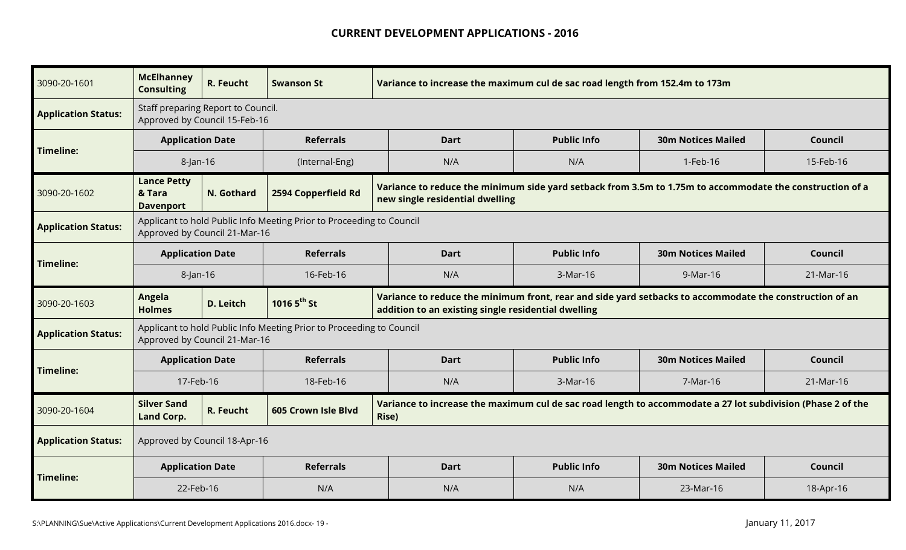| 3090-20-1601               | <b>McElhanney</b><br><b>Consulting</b>                              | R. Feucht        | <b>Swanson St</b>                                                    | Variance to increase the maximum cul de sac road length from 152.4m to 173m                                                                                    |                    |                           |           |
|----------------------------|---------------------------------------------------------------------|------------------|----------------------------------------------------------------------|----------------------------------------------------------------------------------------------------------------------------------------------------------------|--------------------|---------------------------|-----------|
| <b>Application Status:</b> | Staff preparing Report to Council.<br>Approved by Council 15-Feb-16 |                  |                                                                      |                                                                                                                                                                |                    |                           |           |
|                            | <b>Application Date</b>                                             |                  | <b>Referrals</b>                                                     | <b>Dart</b>                                                                                                                                                    | <b>Public Info</b> | <b>30m Notices Mailed</b> | Council   |
| Timeline:                  | 8-Jan-16                                                            | (Internal-Eng)   |                                                                      | N/A                                                                                                                                                            | N/A                | 1-Feb-16                  | 15-Feb-16 |
| 3090-20-1602               | <b>Lance Petty</b><br>& Tara<br><b>Davenport</b>                    | N. Gothard       | 2594 Copperfield Rd                                                  | Variance to reduce the minimum side yard setback from 3.5m to 1.75m to accommodate the construction of a<br>new single residential dwelling                    |                    |                           |           |
| <b>Application Status:</b> | Approved by Council 21-Mar-16                                       |                  | Applicant to hold Public Info Meeting Prior to Proceeding to Council |                                                                                                                                                                |                    |                           |           |
| <b>Timeline:</b>           | <b>Application Date</b>                                             |                  | <b>Referrals</b>                                                     | <b>Dart</b>                                                                                                                                                    | <b>Public Info</b> | <b>30m Notices Mailed</b> | Council   |
|                            | $8$ -Jan-16                                                         |                  | 16-Feb-16                                                            | N/A                                                                                                                                                            | 3-Mar-16           | 9-Mar-16                  | 21-Mar-16 |
|                            |                                                                     |                  |                                                                      |                                                                                                                                                                |                    |                           |           |
| 3090-20-1603               | Angela<br><b>Holmes</b>                                             | <b>D. Leitch</b> | 1016 5 <sup>th</sup> St                                              | Variance to reduce the minimum front, rear and side yard setbacks to accommodate the construction of an<br>addition to an existing single residential dwelling |                    |                           |           |
| <b>Application Status:</b> | Approved by Council 21-Mar-16                                       |                  | Applicant to hold Public Info Meeting Prior to Proceeding to Council |                                                                                                                                                                |                    |                           |           |
|                            | <b>Application Date</b>                                             |                  | <b>Referrals</b>                                                     | <b>Dart</b>                                                                                                                                                    | <b>Public Info</b> | <b>30m Notices Mailed</b> | Council   |
| <b>Timeline:</b>           | 17-Feb-16                                                           |                  | 18-Feb-16                                                            | N/A                                                                                                                                                            | 3-Mar-16           | 7-Mar-16                  | 21-Mar-16 |
| 3090-20-1604               | <b>Silver Sand</b><br><b>Land Corp.</b>                             | R. Feucht        | 605 Crown Isle Blyd                                                  | Variance to increase the maximum cul de sac road length to accommodate a 27 lot subdivision (Phase 2 of the<br><b>Rise</b> )                                   |                    |                           |           |
| <b>Application Status:</b> | Approved by Council 18-Apr-16                                       |                  |                                                                      |                                                                                                                                                                |                    |                           |           |
| <b>Timeline:</b>           | <b>Application Date</b>                                             |                  | <b>Referrals</b>                                                     | <b>Dart</b>                                                                                                                                                    | <b>Public Info</b> | <b>30m Notices Mailed</b> | Council   |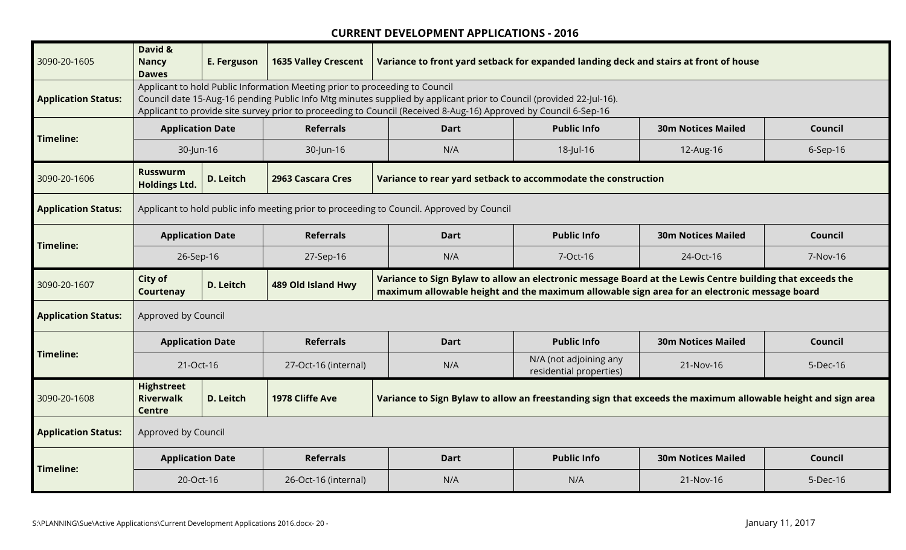| 3090-20-1605               | David &<br><b>Nancy</b><br><b>Dawes</b>                | E. Ferguson | <b>1635 Valley Crescent</b>                                                 | Variance to front yard setback for expanded landing deck and stairs at front of house                                                                                                                                                   |                                                   |                           |          |
|----------------------------|--------------------------------------------------------|-------------|-----------------------------------------------------------------------------|-----------------------------------------------------------------------------------------------------------------------------------------------------------------------------------------------------------------------------------------|---------------------------------------------------|---------------------------|----------|
| <b>Application Status:</b> |                                                        |             | Applicant to hold Public Information Meeting prior to proceeding to Council | Council date 15-Aug-16 pending Public Info Mtg minutes supplied by applicant prior to Council (provided 22-Jul-16).<br>Applicant to provide site survey prior to proceeding to Council (Received 8-Aug-16) Approved by Council 6-Sep-16 |                                                   |                           |          |
| <b>Timeline:</b>           | <b>Application Date</b>                                |             | <b>Referrals</b>                                                            | <b>Dart</b>                                                                                                                                                                                                                             | <b>Public Info</b>                                | <b>30m Notices Mailed</b> | Council  |
|                            | 30-Jun-16                                              |             | 30-Jun-16                                                                   | N/A                                                                                                                                                                                                                                     | 18-Jul-16                                         | 12-Aug-16                 | 6-Sep-16 |
| 3090-20-1606               | <b>Russwurm</b><br><b>Holdings Ltd.</b>                | D. Leitch   | 2963 Cascara Cres                                                           | Variance to rear yard setback to accommodate the construction                                                                                                                                                                           |                                                   |                           |          |
| <b>Application Status:</b> |                                                        |             |                                                                             | Applicant to hold public info meeting prior to proceeding to Council. Approved by Council                                                                                                                                               |                                                   |                           |          |
| <b>Timeline:</b>           | <b>Application Date</b>                                |             | <b>Referrals</b>                                                            | <b>Dart</b>                                                                                                                                                                                                                             | <b>Public Info</b>                                | <b>30m Notices Mailed</b> | Council  |
|                            | 26-Sep-16                                              |             | 27-Sep-16                                                                   | N/A                                                                                                                                                                                                                                     | 7-Oct-16                                          | 24-Oct-16                 | 7-Nov-16 |
|                            |                                                        |             |                                                                             |                                                                                                                                                                                                                                         |                                                   |                           |          |
| 3090-20-1607               | City of<br>Courtenay                                   | D. Leitch   | 489 Old Island Hwy                                                          | Variance to Sign Bylaw to allow an electronic message Board at the Lewis Centre building that exceeds the<br>maximum allowable height and the maximum allowable sign area for an electronic message board                               |                                                   |                           |          |
| <b>Application Status:</b> | Approved by Council                                    |             |                                                                             |                                                                                                                                                                                                                                         |                                                   |                           |          |
|                            | <b>Application Date</b>                                |             | <b>Referrals</b>                                                            | <b>Dart</b>                                                                                                                                                                                                                             | <b>Public Info</b>                                | <b>30m Notices Mailed</b> | Council  |
| <b>Timeline:</b>           | 21-Oct-16                                              |             | 27-Oct-16 (internal)                                                        | N/A                                                                                                                                                                                                                                     | N/A (not adjoining any<br>residential properties) | 21-Nov-16                 | 5-Dec-16 |
| 3090-20-1608               | <b>Highstreet</b><br><b>Riverwalk</b><br><b>Centre</b> | D. Leitch   | 1978 Cliffe Ave                                                             | Variance to Sign Bylaw to allow an freestanding sign that exceeds the maximum allowable height and sign area                                                                                                                            |                                                   |                           |          |
| <b>Application Status:</b> | Approved by Council                                    |             |                                                                             |                                                                                                                                                                                                                                         |                                                   |                           |          |
| <b>Timeline:</b>           | <b>Application Date</b>                                |             | <b>Referrals</b>                                                            | <b>Dart</b>                                                                                                                                                                                                                             | <b>Public Info</b>                                | <b>30m Notices Mailed</b> | Council  |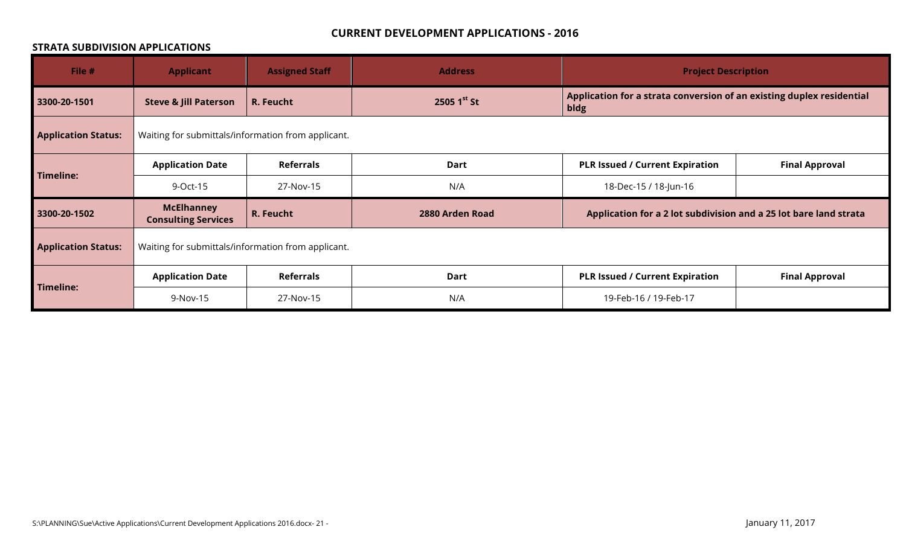#### **STRATA SUBDIVISION APPLICATIONS**

| File #                     | <b>Applicant</b>                                   | <b>Assigned Staff</b> | <b>Address</b>   | <b>Project Description</b>                                                    |                       |
|----------------------------|----------------------------------------------------|-----------------------|------------------|-------------------------------------------------------------------------------|-----------------------|
| 3300-20-1501               | <b>Steve &amp; Jill Paterson</b>                   | R. Feucht             | 2505 $1^{st}$ St | Application for a strata conversion of an existing duplex residential<br>bldg |                       |
| <b>Application Status:</b> | Waiting for submittals/information from applicant. |                       |                  |                                                                               |                       |
|                            | <b>Application Date</b>                            | <b>Referrals</b>      | Dart             | <b>PLR Issued / Current Expiration</b>                                        | <b>Final Approval</b> |
| <b>Timeline:</b>           | 9-Oct-15                                           | 27-Nov-15             | N/A              | 18-Dec-15 / 18-Jun-16                                                         |                       |
| 3300-20-1502               | <b>McElhanney</b><br><b>Consulting Services</b>    | R. Feucht             | 2880 Arden Road  | Application for a 2 lot subdivision and a 25 lot bare land strata             |                       |
| <b>Application Status:</b> | Waiting for submittals/information from applicant. |                       |                  |                                                                               |                       |
|                            | <b>Application Date</b>                            | <b>Referrals</b>      | <b>Dart</b>      | <b>PLR Issued / Current Expiration</b>                                        | <b>Final Approval</b> |
| <b>Timeline:</b>           | 9-Nov-15                                           | 27-Nov-15             | N/A              | 19-Feb-16 / 19-Feb-17                                                         |                       |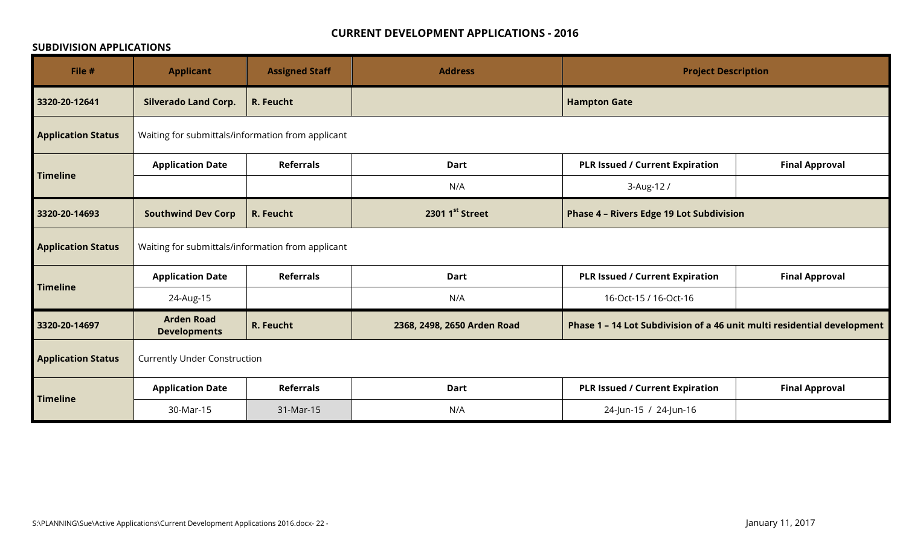#### **SUBDIVISION APPLICATIONS**

| File #                    | <b>Applicant</b>                                  | <b>Assigned Staff</b> | <b>Address</b>              | <b>Project Description</b>                                              |                       |
|---------------------------|---------------------------------------------------|-----------------------|-----------------------------|-------------------------------------------------------------------------|-----------------------|
| 3320-20-12641             | <b>Silverado Land Corp.</b>                       | R. Feucht             |                             | <b>Hampton Gate</b>                                                     |                       |
| <b>Application Status</b> | Waiting for submittals/information from applicant |                       |                             |                                                                         |                       |
|                           | <b>Application Date</b>                           | <b>Referrals</b>      | <b>Dart</b>                 | <b>PLR Issued / Current Expiration</b>                                  | <b>Final Approval</b> |
| <b>Timeline</b>           |                                                   |                       | N/A                         | 3-Aug-12/                                                               |                       |
| 3320-20-14693             | <b>Southwind Dev Corp</b>                         | R. Feucht             | 2301 1st Street             | <b>Phase 4 - Rivers Edge 19 Lot Subdivision</b>                         |                       |
| <b>Application Status</b> | Waiting for submittals/information from applicant |                       |                             |                                                                         |                       |
|                           | <b>Application Date</b>                           | <b>Referrals</b>      | <b>Dart</b>                 | <b>PLR Issued / Current Expiration</b>                                  | <b>Final Approval</b> |
| <b>Timeline</b>           | 24-Aug-15                                         |                       | N/A                         | 16-Oct-15 / 16-Oct-16                                                   |                       |
| 3320-20-14697             | <b>Arden Road</b><br><b>Developments</b>          | R. Feucht             | 2368, 2498, 2650 Arden Road | Phase 1 - 14 Lot Subdivision of a 46 unit multi residential development |                       |
| <b>Application Status</b> | <b>Currently Under Construction</b>               |                       |                             |                                                                         |                       |
|                           | <b>Application Date</b>                           | <b>Referrals</b>      | <b>Dart</b>                 | <b>PLR Issued / Current Expiration</b>                                  | <b>Final Approval</b> |
| <b>Timeline</b>           | 30-Mar-15                                         | 31-Mar-15             | N/A                         | 24-Jun-15 / 24-Jun-16                                                   |                       |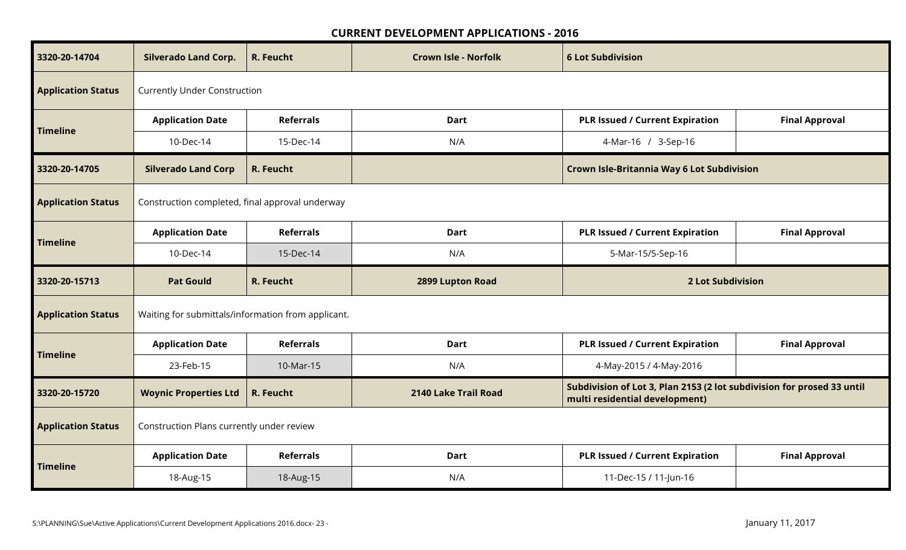| 3320-20-14704             | <b>Silverado Land Corp.</b>                        | R. Feucht        | <b>Crown Isle - Norfolk</b> | <b>6 Lot Subdivision</b>                                                                                 |                       |
|---------------------------|----------------------------------------------------|------------------|-----------------------------|----------------------------------------------------------------------------------------------------------|-----------------------|
| <b>Application Status</b> | <b>Currently Under Construction</b>                |                  |                             |                                                                                                          |                       |
| <b>Timeline</b>           | <b>Application Date</b>                            | <b>Referrals</b> | <b>Dart</b>                 | <b>PLR Issued / Current Expiration</b>                                                                   | <b>Final Approval</b> |
|                           | 10-Dec-14                                          | 15-Dec-14        | N/A                         | 4-Mar-16 / 3-Sep-16                                                                                      |                       |
| 3320-20-14705             | <b>Silverado Land Corp</b>                         | R. Feucht        |                             | Crown Isle-Britannia Way 6 Lot Subdivision                                                               |                       |
| <b>Application Status</b> | Construction completed, final approval underway    |                  |                             |                                                                                                          |                       |
| <b>Timeline</b>           | <b>Application Date</b>                            | <b>Referrals</b> | Dart                        | <b>PLR Issued / Current Expiration</b>                                                                   | <b>Final Approval</b> |
|                           | 10-Dec-14                                          | 15-Dec-14        | N/A                         | 5-Mar-15/5-Sep-16                                                                                        |                       |
|                           |                                                    |                  |                             |                                                                                                          |                       |
| 3320-20-15713             | <b>Pat Gould</b>                                   | R. Feucht        | 2899 Lupton Road            | <b>2 Lot Subdivision</b>                                                                                 |                       |
| <b>Application Status</b> | Waiting for submittals/information from applicant. |                  |                             |                                                                                                          |                       |
|                           | <b>Application Date</b>                            | <b>Referrals</b> | Dart                        | <b>PLR Issued / Current Expiration</b>                                                                   | <b>Final Approval</b> |
| <b>Timeline</b>           | 23-Feb-15                                          | 10-Mar-15        | N/A                         | 4-May-2015 / 4-May-2016                                                                                  |                       |
| 3320-20-15720             | <b>Woynic Properties Ltd</b>                       | R. Feucht        | 2140 Lake Trail Road        | Subdivision of Lot 3, Plan 2153 (2 lot subdivision for prosed 33 until<br>multi residential development) |                       |
| <b>Application Status</b> | Construction Plans currently under review          |                  |                             |                                                                                                          |                       |
| <b>Timeline</b>           | <b>Application Date</b>                            | <b>Referrals</b> | <b>Dart</b>                 | <b>PLR Issued / Current Expiration</b>                                                                   | <b>Final Approval</b> |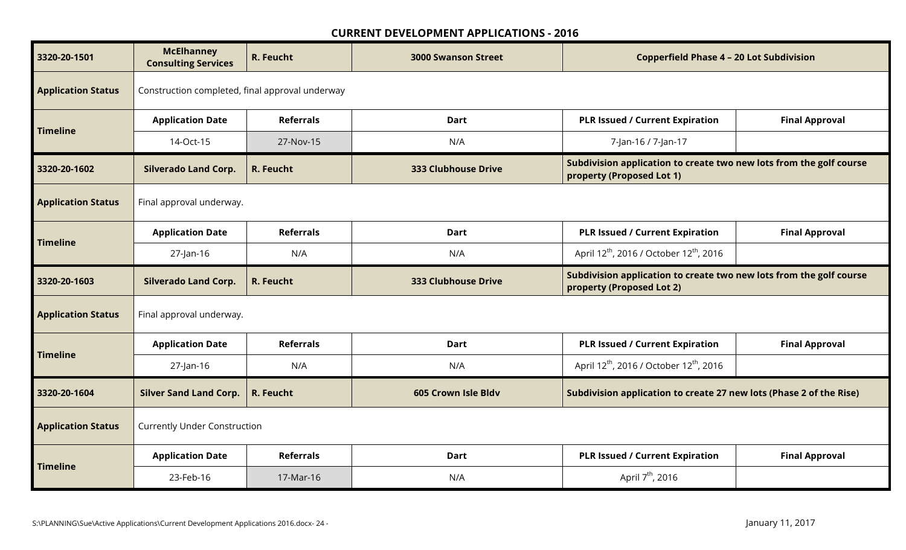| 3320-20-1501              | <b>McElhanney</b><br><b>Consulting Services</b> | R. Feucht        | <b>3000 Swanson Street</b> | <b>Copperfield Phase 4 - 20 Lot Subdivision</b>                                                  |                       |
|---------------------------|-------------------------------------------------|------------------|----------------------------|--------------------------------------------------------------------------------------------------|-----------------------|
| <b>Application Status</b> | Construction completed, final approval underway |                  |                            |                                                                                                  |                       |
| <b>Timeline</b>           | <b>Application Date</b>                         | <b>Referrals</b> | <b>Dart</b>                | <b>PLR Issued / Current Expiration</b>                                                           | <b>Final Approval</b> |
|                           | 14-Oct-15                                       | 27-Nov-15        | N/A                        | 7-Jan-16 / 7-Jan-17                                                                              |                       |
| 3320-20-1602              | <b>Silverado Land Corp.</b>                     | R. Feucht        | <b>333 Clubhouse Drive</b> | Subdivision application to create two new lots from the golf course<br>property (Proposed Lot 1) |                       |
| <b>Application Status</b> | Final approval underway.                        |                  |                            |                                                                                                  |                       |
| <b>Timeline</b>           | <b>Application Date</b>                         | <b>Referrals</b> | <b>Dart</b>                | <b>PLR Issued / Current Expiration</b>                                                           | <b>Final Approval</b> |
|                           | 27-Jan-16                                       | N/A              | N/A                        | April 12 <sup>th</sup> , 2016 / October 12 <sup>th</sup> , 2016                                  |                       |
|                           |                                                 |                  |                            |                                                                                                  |                       |
| 3320-20-1603              | <b>Silverado Land Corp.</b>                     | R. Feucht        | 333 Clubhouse Drive        | Subdivision application to create two new lots from the golf course<br>property (Proposed Lot 2) |                       |
| <b>Application Status</b> | Final approval underway.                        |                  |                            |                                                                                                  |                       |
|                           | <b>Application Date</b>                         | <b>Referrals</b> | <b>Dart</b>                | <b>PLR Issued / Current Expiration</b>                                                           | <b>Final Approval</b> |
| <b>Timeline</b>           | 27-Jan-16                                       | N/A              | N/A                        | April 12 <sup>th</sup> , 2016 / October 12 <sup>th</sup> , 2016                                  |                       |
| 3320-20-1604              | <b>Silver Sand Land Corp.</b>                   | R. Feucht        | 605 Crown Isle Bldv        | Subdivision application to create 27 new lots (Phase 2 of the Rise)                              |                       |
| <b>Application Status</b> | <b>Currently Under Construction</b>             |                  |                            |                                                                                                  |                       |
| <b>Timeline</b>           | <b>Application Date</b>                         | <b>Referrals</b> | <b>Dart</b>                | <b>PLR Issued / Current Expiration</b>                                                           | <b>Final Approval</b> |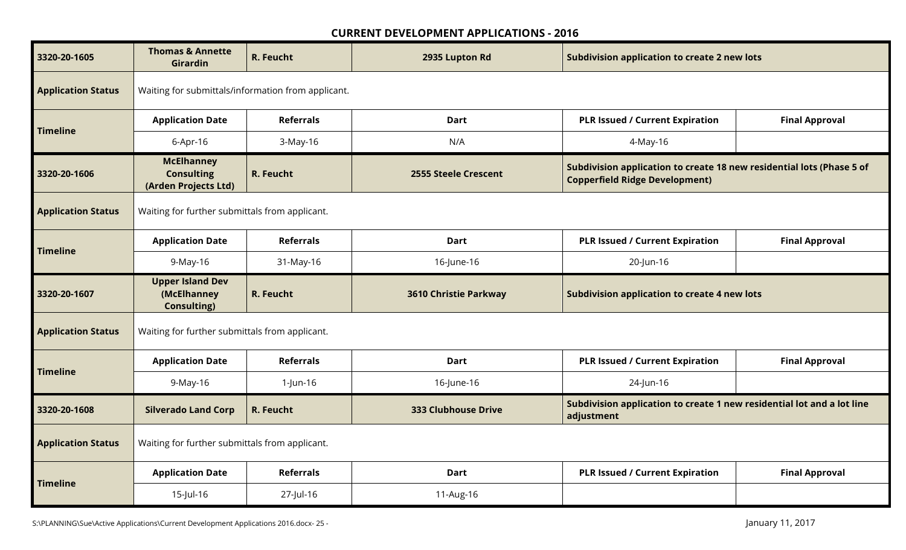| 3320-20-1605              | <b>Thomas &amp; Annette</b><br>Girardin                        | R. Feucht        | 2935 Lupton Rd               | <b>Subdivision application to create 2 new lots</b>                                                            |                       |  |  |  |
|---------------------------|----------------------------------------------------------------|------------------|------------------------------|----------------------------------------------------------------------------------------------------------------|-----------------------|--|--|--|
| <b>Application Status</b> | Waiting for submittals/information from applicant.             |                  |                              |                                                                                                                |                       |  |  |  |
| <b>Timeline</b>           | <b>Application Date</b>                                        | <b>Referrals</b> | Dart                         | <b>PLR Issued / Current Expiration</b>                                                                         | <b>Final Approval</b> |  |  |  |
|                           | 6-Apr-16                                                       | 3-May-16         | N/A                          | 4-May-16                                                                                                       |                       |  |  |  |
| 3320-20-1606              | <b>McElhanney</b><br><b>Consulting</b><br>(Arden Projects Ltd) | R. Feucht        | <b>2555 Steele Crescent</b>  | Subdivision application to create 18 new residential lots (Phase 5 of<br><b>Copperfield Ridge Development)</b> |                       |  |  |  |
| <b>Application Status</b> | Waiting for further submittals from applicant.                 |                  |                              |                                                                                                                |                       |  |  |  |
|                           | <b>Application Date</b>                                        | <b>Referrals</b> | <b>Dart</b>                  | <b>PLR Issued / Current Expiration</b>                                                                         | <b>Final Approval</b> |  |  |  |
| <b>Timeline</b>           | 9-May-16                                                       | 31-May-16        | 16-June-16                   | 20-Jun-16                                                                                                      |                       |  |  |  |
|                           |                                                                |                  |                              | <b>Subdivision application to create 4 new lots</b>                                                            |                       |  |  |  |
| 3320-20-1607              | <b>Upper Island Dev</b><br>(McElhanney<br><b>Consulting)</b>   | R. Feucht        | <b>3610 Christie Parkway</b> |                                                                                                                |                       |  |  |  |
| <b>Application Status</b> | Waiting for further submittals from applicant.                 |                  |                              |                                                                                                                |                       |  |  |  |
|                           | <b>Application Date</b>                                        | <b>Referrals</b> | <b>Dart</b>                  | <b>PLR Issued / Current Expiration</b>                                                                         | <b>Final Approval</b> |  |  |  |
| <b>Timeline</b>           | 9-May-16                                                       | 1-Jun-16         | 16-June-16                   | 24-Jun-16                                                                                                      |                       |  |  |  |
| 3320-20-1608              | <b>Silverado Land Corp</b>                                     | R. Feucht        | <b>333 Clubhouse Drive</b>   | Subdivision application to create 1 new residential lot and a lot line<br>adjustment                           |                       |  |  |  |
| <b>Application Status</b> | Waiting for further submittals from applicant.                 |                  |                              |                                                                                                                |                       |  |  |  |
| <b>Timeline</b>           | <b>Application Date</b>                                        | <b>Referrals</b> | Dart                         | <b>PLR Issued / Current Expiration</b>                                                                         | <b>Final Approval</b> |  |  |  |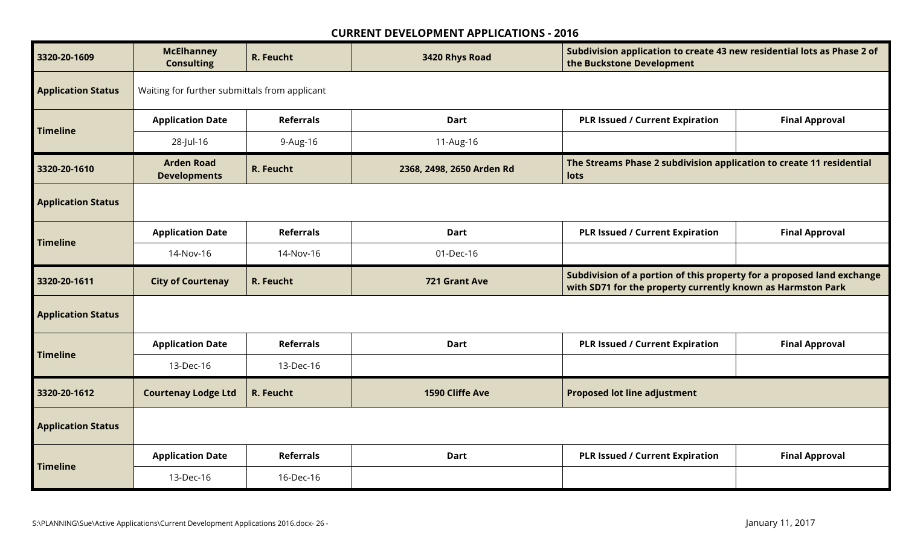| 3320-20-1609              | <b>McElhanney</b><br><b>Consulting</b>        | R. Feucht        | 3420 Rhys Road            | Subdivision application to create 43 new residential lots as Phase 2 of<br>the Buckstone Development                                  |                       |  |  |
|---------------------------|-----------------------------------------------|------------------|---------------------------|---------------------------------------------------------------------------------------------------------------------------------------|-----------------------|--|--|
| <b>Application Status</b> | Waiting for further submittals from applicant |                  |                           |                                                                                                                                       |                       |  |  |
| <b>Timeline</b>           | <b>Application Date</b>                       | <b>Referrals</b> | <b>Dart</b>               | <b>PLR Issued / Current Expiration</b>                                                                                                | <b>Final Approval</b> |  |  |
|                           | 28-Jul-16                                     | 9-Aug-16         | 11-Aug-16                 |                                                                                                                                       |                       |  |  |
| 3320-20-1610              | <b>Arden Road</b><br><b>Developments</b>      | R. Feucht        | 2368, 2498, 2650 Arden Rd | The Streams Phase 2 subdivision application to create 11 residential<br>lots                                                          |                       |  |  |
| <b>Application Status</b> |                                               |                  |                           |                                                                                                                                       |                       |  |  |
| <b>Timeline</b>           | <b>Application Date</b>                       | <b>Referrals</b> | <b>Dart</b>               | <b>PLR Issued / Current Expiration</b>                                                                                                | <b>Final Approval</b> |  |  |
|                           | 14-Nov-16                                     | 14-Nov-16        | 01-Dec-16                 |                                                                                                                                       |                       |  |  |
|                           |                                               |                  |                           |                                                                                                                                       |                       |  |  |
| 3320-20-1611              | <b>City of Courtenay</b>                      | R. Feucht        | 721 Grant Ave             | Subdivision of a portion of this property for a proposed land exchange<br>with SD71 for the property currently known as Harmston Park |                       |  |  |
| <b>Application Status</b> |                                               |                  |                           |                                                                                                                                       |                       |  |  |
|                           | <b>Application Date</b>                       | <b>Referrals</b> | <b>Dart</b>               | <b>PLR Issued / Current Expiration</b>                                                                                                | <b>Final Approval</b> |  |  |
| <b>Timeline</b>           | 13-Dec-16                                     | 13-Dec-16        |                           |                                                                                                                                       |                       |  |  |
| 3320-20-1612              | <b>Courtenay Lodge Ltd</b>                    | R. Feucht        | 1590 Cliffe Ave           | <b>Proposed lot line adjustment</b>                                                                                                   |                       |  |  |
| <b>Application Status</b> |                                               |                  |                           |                                                                                                                                       |                       |  |  |
| <b>Timeline</b>           | <b>Application Date</b>                       | <b>Referrals</b> | <b>Dart</b>               | <b>PLR Issued / Current Expiration</b>                                                                                                | <b>Final Approval</b> |  |  |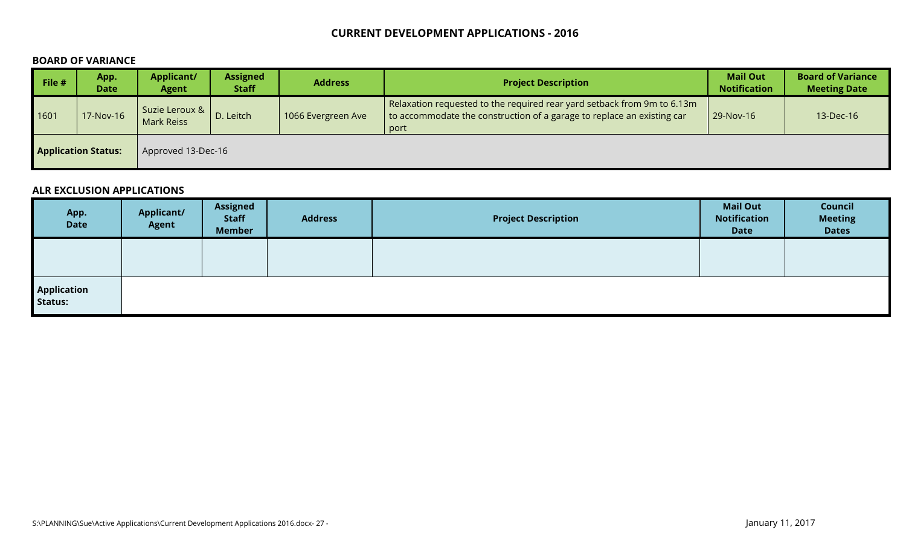#### **BOARD OF VARIANCE**

| $\blacksquare$ File # | App.<br><b>Date</b>        | <b>Applicant/</b><br><b>Agent</b>     | <b>Assigned</b><br><b>Staff</b> | <b>Address</b>     | <b>Project Description</b>                                                                                                                                | <b>Mail Out</b><br><b>Notification</b> | <b>Board of Variance</b><br><b>Meeting Date</b> |
|-----------------------|----------------------------|---------------------------------------|---------------------------------|--------------------|-----------------------------------------------------------------------------------------------------------------------------------------------------------|----------------------------------------|-------------------------------------------------|
| 1601                  | 7-Nov-16                   | Suzie Leroux &  <br><b>Mark Reiss</b> | D. Leitch                       | 1066 Evergreen Ave | Relaxation requested to the required rear yard setback from 9m to 6.13m<br>to accommodate the construction of a garage to replace an existing car<br>port | 29-Nov-16                              | 13-Dec-16                                       |
|                       | <b>Application Status:</b> | Approved 13-Dec-16                    |                                 |                    |                                                                                                                                                           |                                        |                                                 |

#### **ALR EXCLUSION APPLICATIONS**

| App.<br><b>Date</b>    | <b>Applicant/</b><br>Agent | <b>Assigned</b><br><b>Staff</b><br><b>Member</b> | <b>Address</b> | <b>Project Description</b> | <b>Mail Out</b><br><b>Notification</b><br><b>Date</b> | Council<br><b>Meeting</b><br><b>Dates</b> |
|------------------------|----------------------------|--------------------------------------------------|----------------|----------------------------|-------------------------------------------------------|-------------------------------------------|
|                        |                            |                                                  |                |                            |                                                       |                                           |
| Application<br>Status: |                            |                                                  |                |                            |                                                       |                                           |